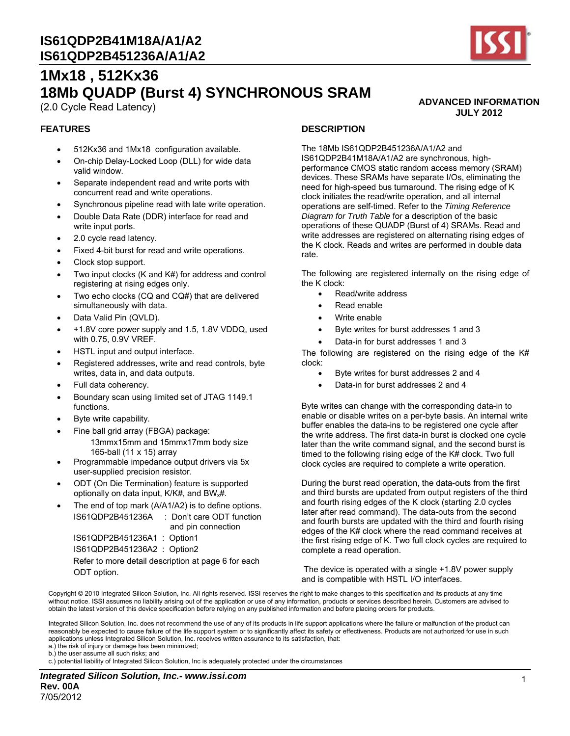

**ADVANCED INFORMATION JULY 2012** 

# **1Mx18 , 512Kx36 18Mb QUADP (Burst 4) SYNCHRONOUS SRAM**

(2.0 Cycle Read Latency)

#### **FEATURES**

- 512Kx36 and 1Mx18 configuration available.
- On-chip Delay-Locked Loop (DLL) for wide data valid window.
- Separate independent read and write ports with concurrent read and write operations.
- Synchronous pipeline read with late write operation.
- Double Data Rate (DDR) interface for read and write input ports.
- 2.0 cycle read latency.
- Fixed 4-bit burst for read and write operations.
- Clock stop support.
- Two input clocks (K and K#) for address and control registering at rising edges only.
- Two echo clocks (CQ and CQ#) that are delivered simultaneously with data.
- Data Valid Pin (QVLD).
- $+1.8V$  core power supply and 1.5, 1.8V VDDQ, used with 0.75, 0.9V VREF.
- HSTL input and output interface.
- Registered addresses, write and read controls, byte writes, data in, and data outputs.
- Full data coherency.
- Boundary scan using limited set of JTAG 1149.1 functions.
- Byte write capability.
- Fine ball grid array (FBGA) package:
	- 13mmx15mm and 15mmx17mm body size 165-ball (11 x 15) array
- Programmable impedance output drivers via 5x user-supplied precision resistor.
- ODT (On Die Termination) feature is supported optionally on data input,  $K/K#$ , and  $BW_x#$ .
- The end of top mark (A/A1/A2) is to define options. IS61QDP2B451236A : Don't care ODT function

and pin connection IS61QDP2B451236A1 : Option1 IS61QDP2B451236A2 : Option2

 Refer to more detail description at page 6 for each ODT option.

#### **DESCRIPTION**

The 18Mb IS61QDP2B451236A/A1/A2 and IS61QDP2B41M18A/A1/A2 are synchronous, highperformance CMOS static random access memory (SRAM) devices. These SRAMs have separate I/Os, eliminating the need for high-speed bus turnaround. The rising edge of K clock initiates the read/write operation, and all internal operations are self-timed. Refer to the *Timing Reference Diagram for Truth Table* for a description of the basic operations of these QUADP (Burst of 4) SRAMs. Read and write addresses are registered on alternating rising edges of the K clock. Reads and writes are performed in double data rate.

The following are registered internally on the rising edge of the K clock:

- Read/write address
- Read enable
- Write enable
- Byte writes for burst addresses 1 and 3
- Data-in for burst addresses 1 and 3

The following are registered on the rising edge of the K# clock:

- Byte writes for burst addresses 2 and 4
- Data-in for burst addresses 2 and 4

Byte writes can change with the corresponding data-in to enable or disable writes on a per-byte basis. An internal write buffer enables the data-ins to be registered one cycle after the write address. The first data-in burst is clocked one cycle later than the write command signal, and the second burst is timed to the following rising edge of the K# clock. Two full clock cycles are required to complete a write operation.

During the burst read operation, the data-outs from the first and third bursts are updated from output registers of the third and fourth rising edges of the K clock (starting 2.0 cycles later after read command). The data-outs from the second and fourth bursts are updated with the third and fourth rising edges of the K# clock where the read command receives at the first rising edge of K. Two full clock cycles are required to complete a read operation.

 The device is operated with a single +1.8V power supply and is compatible with HSTL I/O interfaces.

Copyright © 2010 Integrated Silicon Solution, Inc. All rights reserved. ISSI reserves the right to make changes to this specification and its products at any time without notice. ISSI assumes no liability arising out of the application or use of any information, products or services described herein. Customers are advised to obtain the latest version of this device specification before relying on any published information and before placing orders for products.

Integrated Silicon Solution, Inc. does not recommend the use of any of its products in life support applications where the failure or malfunction of the product can reasonably be expected to cause failure of the life support system or to significantly affect its safety or effectiveness. Products are not authorized for use in such applications unless Integrated Silicon Solution, Inc. receives written assurance to its satisfaction, that:

a.) the risk of injury or damage has been minimized;

b.) the user assume all such risks; and

c.) potential liability of Integrated Silicon Solution, Inc is adequately protected under the circumstances

*Integrated Silicon Solution, Inc.- www.issi.com* **Rev. 00A**  7/05/2012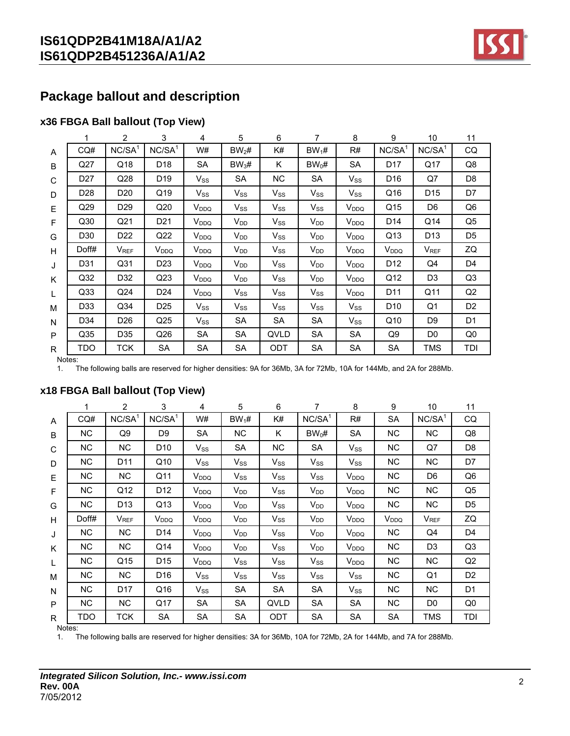

## **Package ballout and description**

## **x36 FBGA Ball ballout (Top View)**

|   |                 | 2                  | 3               | 4                       | 5                 | 6          |                            | 8                       | 9                  | 10                 | 11             |
|---|-----------------|--------------------|-----------------|-------------------------|-------------------|------------|----------------------------|-------------------------|--------------------|--------------------|----------------|
| A | CQ#             | NC/SA <sup>1</sup> | $NC/SA^1$       | W#                      | $BW_2#$           | K#         | $BW_1#$                    | R#                      | NC/SA <sup>1</sup> | NC/SA <sup>1</sup> | CQ             |
| B | Q27             | Q18                | D <sub>18</sub> | <b>SA</b>               | BW <sub>3</sub> # | K          | $BW_0#$                    | <b>SA</b>               | D <sub>17</sub>    | Q17                | Q8             |
| C | D <sub>27</sub> | Q28                | D <sub>19</sub> | $V_{SS}$                | SA                | NC.        | SA                         | $V_{SS}$                | D <sub>16</sub>    | Q7                 | D <sub>8</sub> |
| D | D <sub>28</sub> | D <sub>20</sub>    | Q19             | $V_{SS}$                | $V_{SS}$          | $V_{SS}$   | $V_{SS}$                   | $V_{SS}$                | Q16                | D <sub>15</sub>    | D7             |
| E | Q29             | D <sub>29</sub>    | Q20             | <b>V</b> <sub>DDQ</sub> | $V_{SS}$          | $V_{SS}$   | $V_{SS}$                   | <b>V</b> <sub>DDQ</sub> | Q15                | D <sub>6</sub>     | Q <sub>6</sub> |
| F | Q <sub>30</sub> | Q21                | D <sub>21</sub> | $V_{DDQ}$               | $V_{DD}$          | $V_{SS}$   | V <sub>DD</sub>            | V <sub>DDQ</sub>        | D <sub>14</sub>    | Q14                | Q <sub>5</sub> |
| G | D <sub>30</sub> | D <sub>22</sub>    | Q22             | $V_{DDQ}$               | $V_{DD}$          | $V_{SS}$   | $\mathsf{V}_{\mathsf{DD}}$ | V <sub>DDQ</sub>        | Q13                | D <sub>13</sub>    | D <sub>5</sub> |
| H | Doff#           | $V_{REF}$          | $V_{DDQ}$       | V <sub>DDQ</sub>        | $V_{DD}$          | $V_{SS}$   | $V_{DD}$                   | V <sub>DDQ</sub>        | V <sub>DDQ</sub>   | V <sub>REF</sub>   | ZQ             |
| J | D31             | Q31                | D23             | V <sub>DDQ</sub>        | $V_{DD}$          | $V_{SS}$   | V <sub>DD</sub>            | V <sub>DDQ</sub>        | D <sub>12</sub>    | Q4                 | D4             |
| K | Q <sub>32</sub> | D32                | Q <sub>23</sub> | V <sub>DDQ</sub>        | $V_{DD}$          | $V_{SS}$   | $\mathsf{V}_{\mathsf{DD}}$ | V <sub>DDQ</sub>        | Q12                | D <sub>3</sub>     | Q <sub>3</sub> |
| L | Q <sub>33</sub> | Q24                | D24             | V <sub>DDQ</sub>        | $V_{SS}$          | $V_{SS}$   | $V_{SS}$                   | <b>V</b> <sub>DDQ</sub> | D <sub>11</sub>    | Q11                | Q2             |
| м | D <sub>33</sub> | Q <sub>34</sub>    | D25             | $V_{SS}$                | $V_{SS}$          | $V_{SS}$   | $\mathsf{V}_{\mathsf{SS}}$ | $V_{SS}$                | D <sub>10</sub>    | Q1                 | D <sub>2</sub> |
| N | D34             | D <sub>26</sub>    | Q <sub>25</sub> | $V_{SS}$                | SA                | <b>SA</b>  | SA                         | $V_{SS}$                | Q10                | D <sub>9</sub>     | D <sub>1</sub> |
| P | Q <sub>35</sub> | D35                | Q26             | <b>SA</b>               | <b>SA</b>         | QVLD       | SA                         | <b>SA</b>               | Q9                 | D <sub>0</sub>     | Q <sub>0</sub> |
| R | TDO             | TCK                | <b>SA</b>       | <b>SA</b>               | SA                | <b>ODT</b> | SA                         | <b>SA</b>               | SA                 | TMS                | TDI            |

Notes:

1. The following balls are reserved for higher densities: 9A for 36Mb, 3A for 72Mb, 10A for 144Mb, and 2A for 288Mb.

|   | 1              | $\overline{2}$         | 3               | 4                | 5                          | 6         | 7         | 8                | 9                | 10                     | 11             |
|---|----------------|------------------------|-----------------|------------------|----------------------------|-----------|-----------|------------------|------------------|------------------------|----------------|
| A | CO#            | $NC/SA^1$              | $NC/SA^1$       | W#               | $BW_1#$                    | K#        | $NC/SA^1$ | R#               | SA               | NC/SA <sup>1</sup>     | CQ             |
| B | N <sub>C</sub> | Q9                     | D <sub>9</sub>  | <b>SA</b>        | <b>NC</b>                  | K         | $BW_0#$   | <b>SA</b>        | <b>NC</b>        | NC.                    | Q8             |
| C | <b>NC</b>      | NC.                    | D <sub>10</sub> | $V_{SS}$         | SA                         | <b>NC</b> | SA        | $V_{SS}$         | <b>NC</b>        | Q7                     | D <sub>8</sub> |
| D | NC.            | D <sub>11</sub>        | Q10             | $V_{SS}$         | $\mathsf{V}_{\mathsf{SS}}$ | $V_{SS}$  | $V_{SS}$  | $V_{SS}$         | <b>NC</b>        | NC.                    | D7             |
| E | <b>NC</b>      | NC.                    | Q11             | V <sub>DDQ</sub> | $V_{SS}$                   | $V_{SS}$  | $V_{SS}$  | V <sub>DDQ</sub> | <b>NC</b>        | D <sub>6</sub>         | Q6             |
| F | <b>NC</b>      | Q12                    | D <sub>12</sub> | V <sub>DDQ</sub> | $V_{DD}$                   | $V_{SS}$  | $V_{DD}$  | V <sub>DDQ</sub> | <b>NC</b>        | <b>NC</b>              | Q5             |
| G | NC.            | D <sub>13</sub>        | Q13             | V <sub>DDQ</sub> | $V_{DD}$                   | $V_{SS}$  | $V_{DD}$  | V <sub>DDQ</sub> | <b>NC</b>        | NC.                    | D <sub>5</sub> |
| H | Doff#          | <b>V<sub>REF</sub></b> | $V_{DDQ}$       | V <sub>DDQ</sub> | $V_{DD}$                   | $V_{SS}$  | $V_{DD}$  | V <sub>DDQ</sub> | V <sub>DDQ</sub> | <b>V<sub>REF</sub></b> | ZQ             |
| J | NC.            | NC.                    | D <sub>14</sub> | $\rm V_{DDQ}$    | $V_{DD}$                   | $V_{SS}$  | $V_{DD}$  | V <sub>DDQ</sub> | ΝC               | Q4                     | D4             |
| K | <b>NC</b>      | <b>NC</b>              | Q14             | V <sub>DDQ</sub> | $V_{DD}$                   | $V_{SS}$  | $V_{DD}$  | V <sub>DDQ</sub> | <b>NC</b>        | D <sub>3</sub>         | Q3             |
| L | NC.            | Q15                    | D <sub>15</sub> | V <sub>DDQ</sub> | $V_{SS}$                   | $V_{SS}$  | $V_{SS}$  | V <sub>DDQ</sub> | <b>NC</b>        | NC.                    | Q2             |
| М | <b>NC</b>      | NC.                    | D <sub>16</sub> | $V_{SS}$         | $V_{SS}$                   | $V_{SS}$  | $V_{SS}$  | $V_{SS}$         | ΝC               | Q1                     | D <sub>2</sub> |
| N | NC.            | D17                    | Q16             | $V_{SS}$         | <b>SA</b>                  | <b>SA</b> | SA        | $V_{SS}$         | <b>NC</b>        | NC.                    | D <sub>1</sub> |
| P | N <sub>C</sub> | NC.                    | Q17             | SA               | <b>SA</b>                  | QVLD      | SA        | <b>SA</b>        | <b>NC</b>        | D <sub>0</sub>         | Q0             |
| R | TDO            | TCK                    | SA              | SА               | <b>SA</b>                  | ODT       | <b>SA</b> | SA               | <b>SA</b>        | TMS                    | TDI            |
|   | Notes:         |                        |                 |                  |                            |           |           |                  |                  |                        |                |

## **x18 FBGA Ball ballout (Top View)**

1. The following balls are reserved for higher densities: 3A for 36Mb, 10A for 72Mb, 2A for 144Mb, and 7A for 288Mb.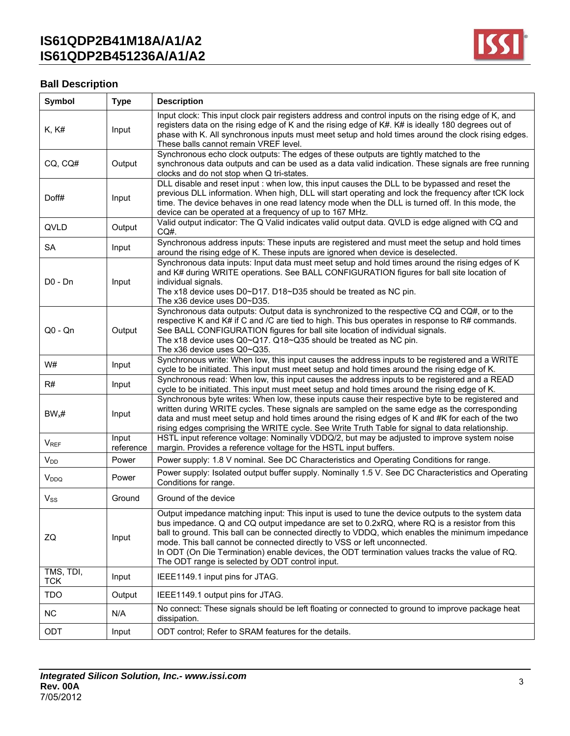

# **Ball Description**

| Symbol                  | <b>Type</b>        | <b>Description</b>                                                                                                                                                                                                                                                                                                                                                                                                                                                                                                                     |
|-------------------------|--------------------|----------------------------------------------------------------------------------------------------------------------------------------------------------------------------------------------------------------------------------------------------------------------------------------------------------------------------------------------------------------------------------------------------------------------------------------------------------------------------------------------------------------------------------------|
| <b>K, K#</b>            | Input              | Input clock: This input clock pair registers address and control inputs on the rising edge of K, and<br>registers data on the rising edge of K and the rising edge of K#. K# is ideally 180 degrees out of<br>phase with K. All synchronous inputs must meet setup and hold times around the clock rising edges.<br>These balls cannot remain VREF level.                                                                                                                                                                              |
| CQ, CQ#                 | Output             | Synchronous echo clock outputs: The edges of these outputs are tightly matched to the<br>synchronous data outputs and can be used as a data valid indication. These signals are free running<br>clocks and do not stop when Q tri-states.                                                                                                                                                                                                                                                                                              |
| Doff#                   | Input              | DLL disable and reset input : when low, this input causes the DLL to be bypassed and reset the<br>previous DLL information. When high, DLL will start operating and lock the frequency after tCK lock<br>time. The device behaves in one read latency mode when the DLL is turned off. In this mode, the<br>device can be operated at a frequency of up to 167 MHz.                                                                                                                                                                    |
| QVLD                    | Output             | Valid output indicator: The Q Valid indicates valid output data. QVLD is edge aligned with CQ and<br>CQ#.                                                                                                                                                                                                                                                                                                                                                                                                                              |
| <b>SA</b>               | Input              | Synchronous address inputs: These inputs are registered and must meet the setup and hold times<br>around the rising edge of K. These inputs are ignored when device is deselected.                                                                                                                                                                                                                                                                                                                                                     |
| $D0 - Dn$               | Input              | Synchronous data inputs: Input data must meet setup and hold times around the rising edges of K<br>and K# during WRITE operations. See BALL CONFIGURATION figures for ball site location of<br>individual signals.<br>The x18 device uses D0~D17. D18~D35 should be treated as NC pin.<br>The x36 device uses D0~D35.                                                                                                                                                                                                                  |
| $Q0 - Qn$               | Output             | Synchronous data outputs: Output data is synchronized to the respective CQ and CQ#, or to the<br>respective K and K# if C and /C are tied to high. This bus operates in response to R# commands.<br>See BALL CONFIGURATION figures for ball site location of individual signals.<br>The x18 device uses Q0~Q17. Q18~Q35 should be treated as NC pin.<br>The x36 device uses Q0~Q35.                                                                                                                                                    |
| W#                      | Input              | Synchronous write: When low, this input causes the address inputs to be registered and a WRITE<br>cycle to be initiated. This input must meet setup and hold times around the rising edge of K.                                                                                                                                                                                                                                                                                                                                        |
| R#                      | Input              | Synchronous read: When low, this input causes the address inputs to be registered and a READ<br>cycle to be initiated. This input must meet setup and hold times around the rising edge of K.                                                                                                                                                                                                                                                                                                                                          |
| $BW_x#$                 | Input              | Synchronous byte writes: When low, these inputs cause their respective byte to be registered and<br>written during WRITE cycles. These signals are sampled on the same edge as the corresponding<br>data and must meet setup and hold times around the rising edges of K and #K for each of the two<br>rising edges comprising the WRITE cycle. See Write Truth Table for signal to data relationship.                                                                                                                                 |
| <b>VREF</b>             | Input<br>reference | HSTL input reference voltage: Nominally VDDQ/2, but may be adjusted to improve system noise<br>margin. Provides a reference voltage for the HSTL input buffers.                                                                                                                                                                                                                                                                                                                                                                        |
| $V_{DD}$                | Power              | Power supply: 1.8 V nominal. See DC Characteristics and Operating Conditions for range.                                                                                                                                                                                                                                                                                                                                                                                                                                                |
| V <sub>DDQ</sub>        | Power              | Power supply: Isolated output buffer supply. Nominally 1.5 V. See DC Characteristics and Operating<br>Conditions for range.                                                                                                                                                                                                                                                                                                                                                                                                            |
| $V_{SS}$                | Ground             | Ground of the device                                                                                                                                                                                                                                                                                                                                                                                                                                                                                                                   |
| ZQ                      | Input              | Output impedance matching input: This input is used to tune the device outputs to the system data<br>bus impedance. Q and CQ output impedance are set to 0.2xRQ, where RQ is a resistor from this<br>ball to ground. This ball can be connected directly to VDDQ, which enables the minimum impedance<br>mode. This ball cannot be connected directly to VSS or left unconnected.<br>In ODT (On Die Termination) enable devices, the ODT termination values tracks the value of RQ.<br>The ODT range is selected by ODT control input. |
| TMS, TDI,<br><b>TCK</b> | Input              | IEEE1149.1 input pins for JTAG.                                                                                                                                                                                                                                                                                                                                                                                                                                                                                                        |
| <b>TDO</b>              | Output             | IEEE1149.1 output pins for JTAG.                                                                                                                                                                                                                                                                                                                                                                                                                                                                                                       |
| <b>NC</b>               | N/A                | No connect: These signals should be left floating or connected to ground to improve package heat<br>dissipation.                                                                                                                                                                                                                                                                                                                                                                                                                       |
| ODT                     | Input              | ODT control; Refer to SRAM features for the details.                                                                                                                                                                                                                                                                                                                                                                                                                                                                                   |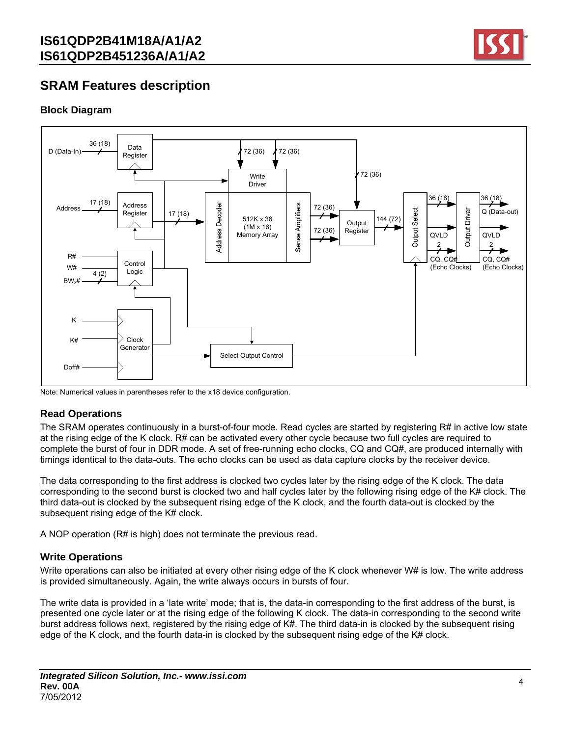

## **SRAM Features description**

## **Block Diagram**



Note: Numerical values in parentheses refer to the x18 device configuration.

### **Read Operations**

The SRAM operates continuously in a burst-of-four mode. Read cycles are started by registering R# in active low state at the rising edge of the K clock. R# can be activated every other cycle because two full cycles are required to complete the burst of four in DDR mode. A set of free-running echo clocks, CQ and CQ#, are produced internally with timings identical to the data-outs. The echo clocks can be used as data capture clocks by the receiver device.

The data corresponding to the first address is clocked two cycles later by the rising edge of the K clock. The data corresponding to the second burst is clocked two and half cycles later by the following rising edge of the K# clock. The third data-out is clocked by the subsequent rising edge of the K clock, and the fourth data-out is clocked by the subsequent rising edge of the K# clock.

A NOP operation (R# is high) does not terminate the previous read.

### **Write Operations**

Write operations can also be initiated at every other rising edge of the K clock whenever W# is low. The write address is provided simultaneously. Again, the write always occurs in bursts of four.

The write data is provided in a 'late write' mode; that is, the data-in corresponding to the first address of the burst, is presented one cycle later or at the rising edge of the following K clock. The data-in corresponding to the second write burst address follows next, registered by the rising edge of K#. The third data-in is clocked by the subsequent rising edge of the K clock, and the fourth data-in is clocked by the subsequent rising edge of the K# clock.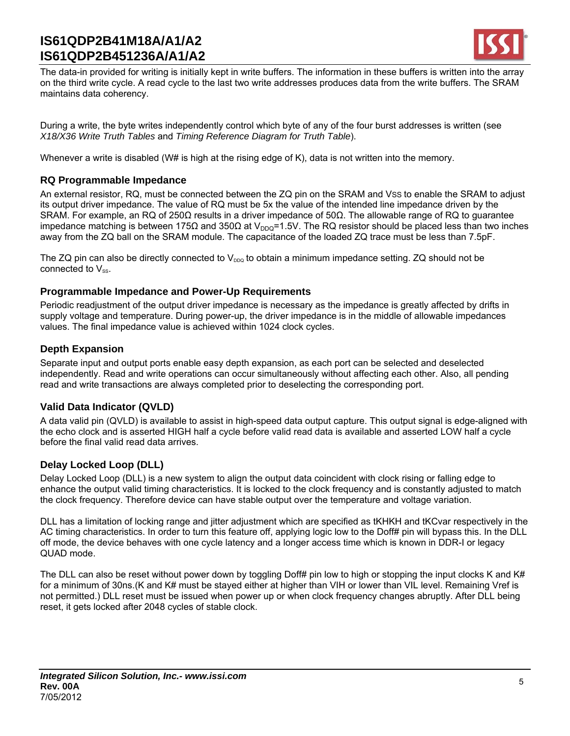

The data-in provided for writing is initially kept in write buffers. The information in these buffers is written into the array on the third write cycle. A read cycle to the last two write addresses produces data from the write buffers. The SRAM maintains data coherency.

During a write, the byte writes independently control which byte of any of the four burst addresses is written (see *X18/X36 Write Truth Tables* and *Timing Reference Diagram for Truth Table*).

Whenever a write is disabled (W# is high at the rising edge of K), data is not written into the memory.

### **RQ Programmable Impedance**

An external resistor, RQ, must be connected between the ZQ pin on the SRAM and VSS to enable the SRAM to adjust its output driver impedance. The value of RQ must be 5x the value of the intended line impedance driven by the SRAM. For example, an RQ of 250Ω results in a driver impedance of 50Ω. The allowable range of RQ to guarantee impedance matching is between 175Ω and 350Ω at V<sub>DDQ</sub>=1.5V. The RQ resistor should be placed less than two inches away from the ZQ ball on the SRAM module. The capacitance of the loaded ZQ trace must be less than 7.5pF.

The ZQ pin can also be directly connected to  $V_{DDQ}$  to obtain a minimum impedance setting. ZQ should not be connected to  $V_{ss}$ .

### **Programmable Impedance and Power-Up Requirements**

Periodic readjustment of the output driver impedance is necessary as the impedance is greatly affected by drifts in supply voltage and temperature. During power-up, the driver impedance is in the middle of allowable impedances values. The final impedance value is achieved within 1024 clock cycles.

### **Depth Expansion**

Separate input and output ports enable easy depth expansion, as each port can be selected and deselected independently. Read and write operations can occur simultaneously without affecting each other. Also, all pending read and write transactions are always completed prior to deselecting the corresponding port.

### **Valid Data Indicator (QVLD)**

A data valid pin (QVLD) is available to assist in high-speed data output capture. This output signal is edge-aligned with the echo clock and is asserted HIGH half a cycle before valid read data is available and asserted LOW half a cycle before the final valid read data arrives.

## **Delay Locked Loop (DLL)**

Delay Locked Loop (DLL) is a new system to align the output data coincident with clock rising or falling edge to enhance the output valid timing characteristics. It is locked to the clock frequency and is constantly adjusted to match the clock frequency. Therefore device can have stable output over the temperature and voltage variation.

DLL has a limitation of locking range and jitter adjustment which are specified as tKHKH and tKCvar respectively in the AC timing characteristics. In order to turn this feature off, applying logic low to the Doff# pin will bypass this. In the DLL off mode, the device behaves with one cycle latency and a longer access time which is known in DDR-I or legacy QUAD mode.

The DLL can also be reset without power down by toggling Doff# pin low to high or stopping the input clocks K and K# for a minimum of 30ns.(K and K# must be stayed either at higher than VIH or lower than VIL level. Remaining Vref is not permitted.) DLL reset must be issued when power up or when clock frequency changes abruptly. After DLL being reset, it gets locked after 2048 cycles of stable clock.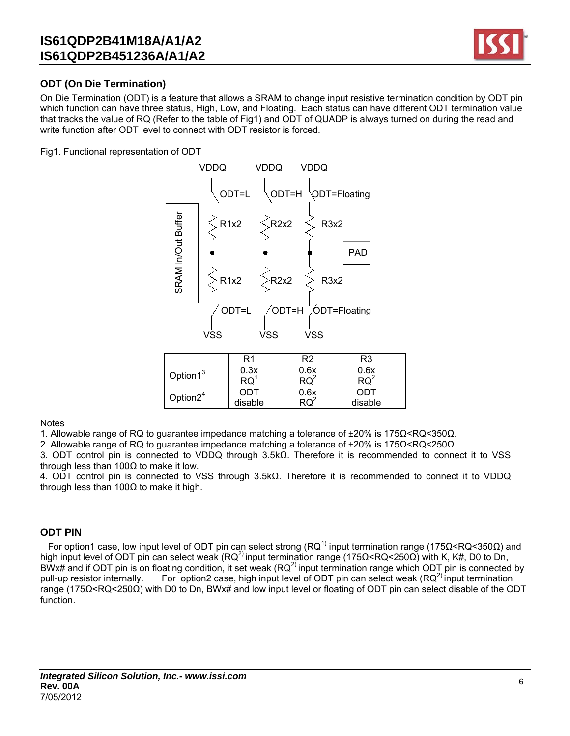

## **ODT (On Die Termination)**

On Die Termination (ODT) is a feature that allows a SRAM to change input resistive termination condition by ODT pin which function can have three status, High, Low, and Floating. Each status can have different ODT termination value that tracks the value of RQ (Refer to the table of Fig1) and ODT of QUADP is always turned on during the read and write function after ODT level to connect with ODT resistor is forced.

Fig1. Functional representation of ODT



|                      | R1              | R2              | R3      |
|----------------------|-----------------|-----------------|---------|
| Option1 <sup>3</sup> | 0.3x            | 0.6x            | 0.6x    |
|                      | $\mathsf{RQ}^7$ | $\mathsf{RQ}^2$ |         |
| Option $2^4$         | ODT             | 0.6x            | ODT     |
|                      | disable         |                 | disable |
|                      |                 |                 |         |

**Notes** 

1. Allowable range of RQ to guarantee impedance matching a tolerance of ±20% is 175Ω<RQ<350Ω.

2. Allowable range of RQ to guarantee impedance matching a tolerance of ±20% is 175Ω<RQ<250Ω.

3. ODT control pin is connected to VDDQ through 3.5kΩ. Therefore it is recommended to connect it to VSS through less than 100Ω to make it low.

4. ODT control pin is connected to VSS through 3.5kΩ. Therefore it is recommended to connect it to VDDQ through less than 100 $Ω$  to make it high.

### **ODT PIN**

For option1 case, low input level of ODT pin can select strong (RQ<sup>1)</sup> input termination range (175Ω<RQ<350Ω) and high input level of ODT pin can select weak (RQ<sup>2)</sup> input termination range (175Ω<RQ<250Ω) with K, K#, D0 to Dn, BWx# and if ODT pin is on floating condition, it set weak ( $RQ<sup>2</sup>$  input termination range which ODT pin is connected by pull-up resistor internally. For option2 case, high input level of ODT pin can select weak (RQ<sup>2)</sup> input termination range (175Ω<RQ<250Ω) with D0 to Dn, BWx# and low input level or floating of ODT pin can select disable of the ODT function.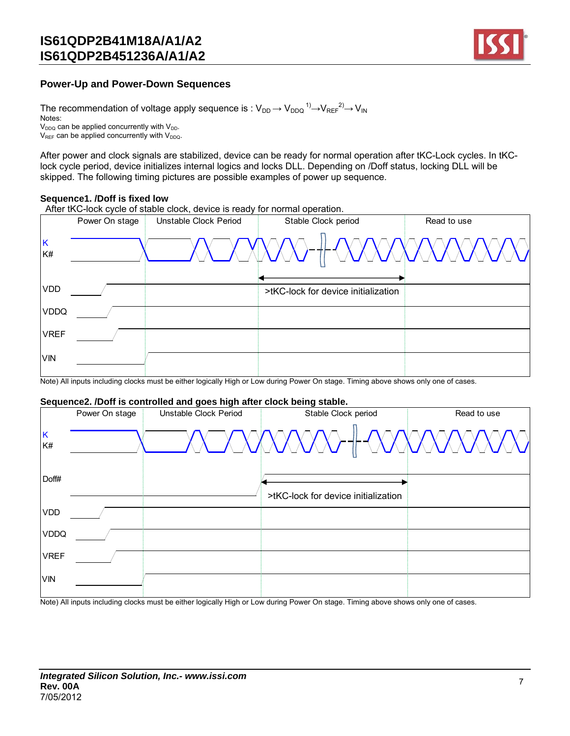

### **Power-Up and Power-Down Sequences**

The recommendation of voltage apply sequence is :  $\rm V_{DD} \!\rightarrow\! V_{DDQ} \rm ^{1)} \!\!\rightarrow\!\! V_{REF} \rm ^{2)} \!\!\rightarrow\! V_{IN}$ Notes:  $V_{DDQ}$  can be applied concurrently with  $V_{DDQ}$ .  $V_{REF}$  can be applied concurrently with  $V_{DDQ}$ .

After power and clock signals are stabilized, device can be ready for normal operation after tKC-Lock cycles. In tKClock cycle period, device initializes internal logics and locks DLL. Depending on /Doff status, locking DLL will be skipped. The following timing pictures are possible examples of power up sequence.

#### **Sequence1. /Doff is fixed low**

After tKC-lock cycle of stable clock, device is ready for normal operation.



Note) All inputs including clocks must be either logically High or Low during Power On stage. Timing above shows only one of cases.

#### **Sequence2. /Doff is controlled and goes high after clock being stable.**

|             | Power On stage | Unstable Clock Period | Stable Clock period                 | Read to use |
|-------------|----------------|-----------------------|-------------------------------------|-------------|
| K<br>K#     |                |                       |                                     |             |
| Doff#       |                |                       | >tKC-lock for device initialization |             |
| <b>VDD</b>  |                |                       |                                     |             |
| <b>VDDQ</b> |                |                       |                                     |             |
| <b>VREF</b> |                |                       |                                     |             |
| <b>VIN</b>  |                |                       |                                     |             |
|             |                |                       |                                     |             |

Note) All inputs including clocks must be either logically High or Low during Power On stage. Timing above shows only one of cases.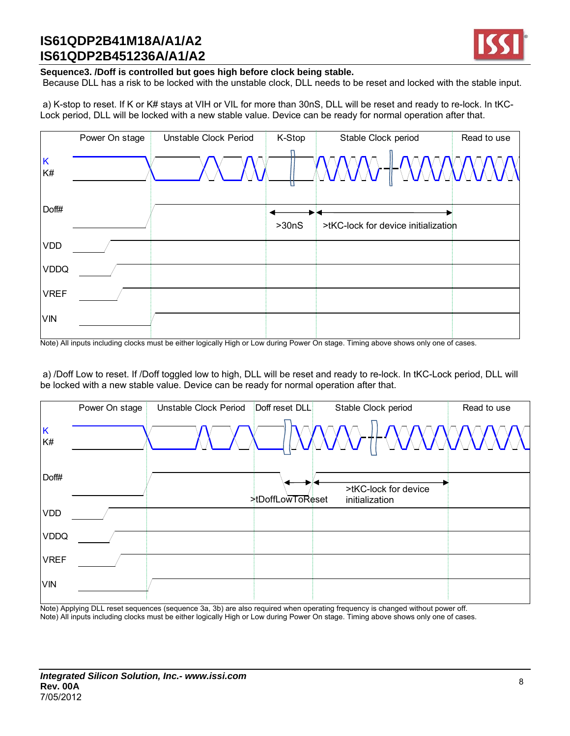

#### **Sequence3. /Doff is controlled but goes high before clock being stable.**

Because DLL has a risk to be locked with the unstable clock, DLL needs to be reset and locked with the stable input.

 a) K-stop to reset. If K or K# stays at VIH or VIL for more than 30nS, DLL will be reset and ready to re-lock. In tKC-Lock period, DLL will be locked with a new stable value. Device can be ready for normal operation after that.

|             | Power On stage | Unstable Clock Period | K-Stop | Stable Clock period                 | Read to use |
|-------------|----------------|-----------------------|--------|-------------------------------------|-------------|
| K<br>K#     |                |                       |        |                                     |             |
| Doff#       |                |                       | >30nS  | >tKC-lock for device initialization |             |
| <b>VDD</b>  |                |                       |        |                                     |             |
| <b>VDDQ</b> |                |                       |        |                                     |             |
| <b>VREF</b> |                |                       |        |                                     |             |
| <b>VIN</b>  |                |                       |        |                                     |             |
|             |                |                       |        |                                     |             |

Note) All inputs including clocks must be either logically High or Low during Power On stage. Timing above shows only one of cases.

 a) /Doff Low to reset. If /Doff toggled low to high, DLL will be reset and ready to re-lock. In tKC-Lock period, DLL will be locked with a new stable value. Device can be ready for normal operation after that.

|             | Power On stage | Unstable Clock Period | Doff reset DLL   | Stable Clock period                    | Read to use |
|-------------|----------------|-----------------------|------------------|----------------------------------------|-------------|
| K<br>K#     |                |                       |                  | XXXXX>+  -XXXXXXXXXX                   |             |
| Doff#       |                |                       | >tDoffLowToReset | >tKC-lock for device<br>initialization |             |
| <b>VDD</b>  |                |                       |                  |                                        |             |
| <b>VDDQ</b> |                |                       |                  |                                        |             |
| <b>VREF</b> |                |                       |                  |                                        |             |
| <b>VIN</b>  |                |                       |                  |                                        |             |

Note) Applying DLL reset sequences (sequence 3a, 3b) are also required when operating frequency is changed without power off. Note) All inputs including clocks must be either logically High or Low during Power On stage. Timing above shows only one of cases.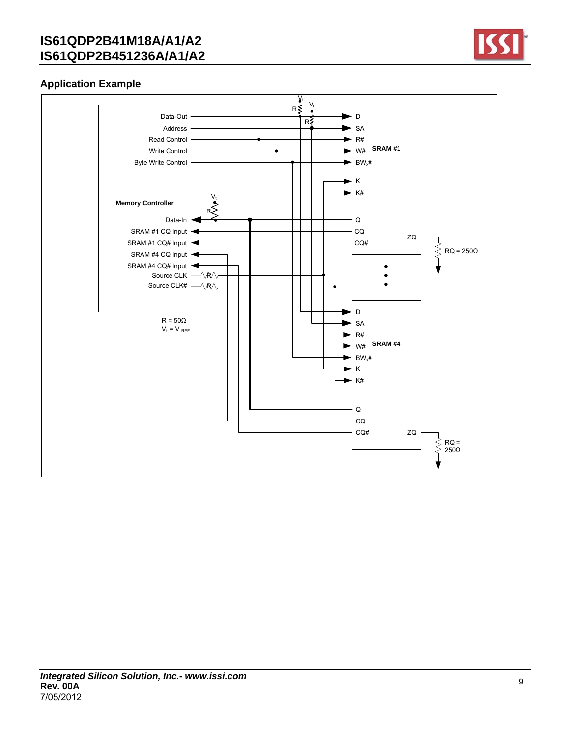

## **Application Example**

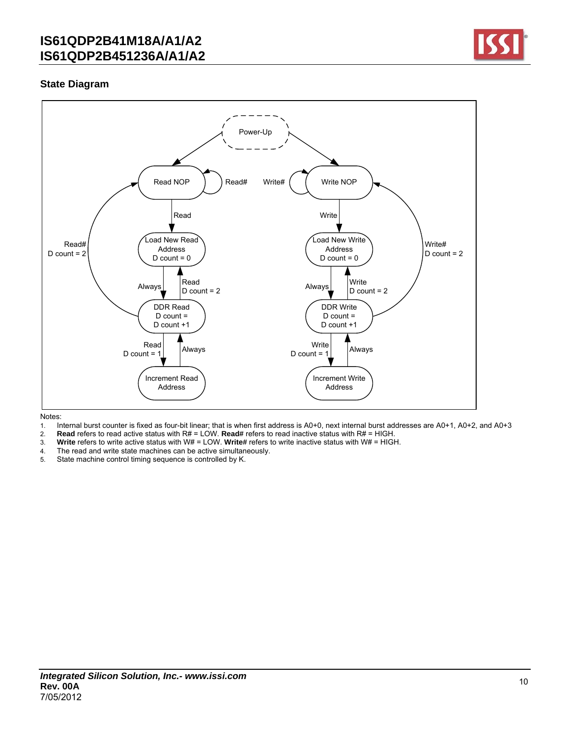

### **State Diagram**



- 1. Internal burst counter is fixed as four-bit linear; that is when first address is A0+0, next internal burst addresses are A0+1, A0+2, and A0+3
- 2. **Read** refers to read active status with R# = LOW. **Read#** refers to read inactive status with R# = HIGH.<br>3. Write refers to write active status with W# = LOW. Write# refers to write inactive status with W# = HIGH
- 3. **Write** refers to write active status with W# = LOW. **Write#** refers to write inactive status with W# = HIGH.
- 4. The read and write state machines can be active simultaneously.
- 5. State machine control timing sequence is controlled by K.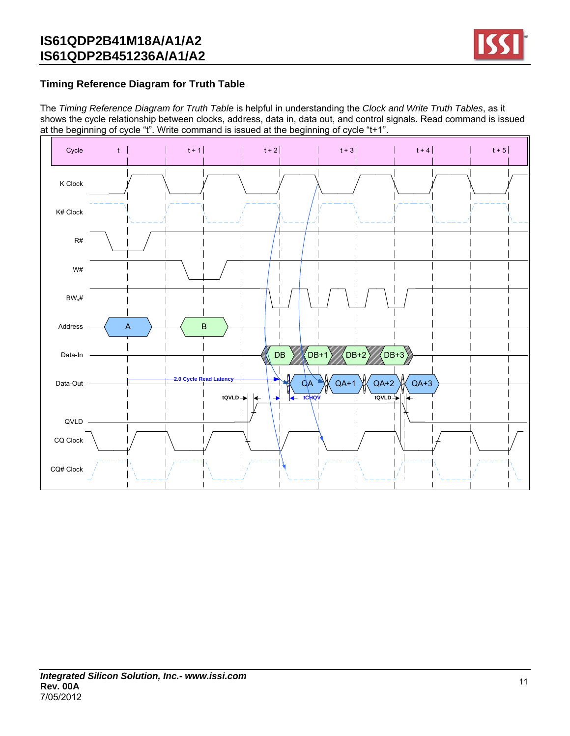

## **Timing Reference Diagram for Truth Table**

The *Timing Reference Diagram for Truth Table* is helpful in understanding the *Clock and Write Truth Tables*, as it shows the cycle relationship between clocks, address, data in, data out, and control signals. Read command is issued at the beginning of cycle "t". Write command is issued at the beginning of cycle "t+1".

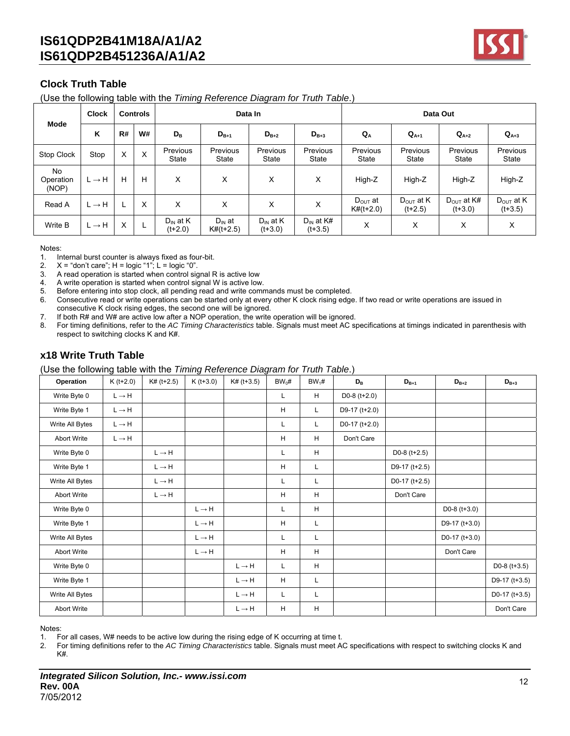

## **Clock Truth Table**

(Use the following table with the *Timing Reference Diagram for Truth Table*.)

| <b>Mode</b>              | <b>Clock</b><br><b>Controls</b> |    |          |                            | Data In                    |                            | Data Out                    |                                    |                                    |                                     |                                    |
|--------------------------|---------------------------------|----|----------|----------------------------|----------------------------|----------------------------|-----------------------------|------------------------------------|------------------------------------|-------------------------------------|------------------------------------|
|                          | K                               | R# | W#       | $D_{B}$                    | $D_{B+1}$                  | $D_{B+2}$                  | $D_{B+3}$                   | $Q_{A}$                            | $Q_{A+1}$                          | $Q_{A+2}$                           | $Q_{A+3}$                          |
| Stop Clock               | Stop                            | X  | $\times$ | Previous<br>State          | Previous<br>State          | Previous<br><b>State</b>   | Previous<br>State           | Previous<br>State                  | Previous<br>State                  | Previous<br>State                   | <b>Previous</b><br>State           |
| No<br>Operation<br>(NOP) | $L \rightarrow H$               | H  | Н        | X                          | X                          | X                          | х                           | High-Z                             | High-Z                             | High-Z                              | High-Z                             |
| Read A                   | $L \rightarrow H$               |    | X        | X                          | X                          | X                          | Χ                           | D <sub>ouT</sub> at<br>$K#(t+2.0)$ | $D_{\text{OUT}}$ at K<br>$(t+2.5)$ | $D_{\text{OUT}}$ at K#<br>$(t+3.0)$ | $D_{\text{OUT}}$ at K<br>$(t+3.5)$ |
| Write B                  | $L \rightarrow H$               | X  | L.       | $D_{IN}$ at K<br>$(t+2.0)$ | $D_{IN}$ at<br>$K#(t+2.5)$ | $D_{IN}$ at K<br>$(t+3.0)$ | $D_{IN}$ at K#<br>$(t+3.5)$ | X                                  | X                                  | X                                   | X                                  |

Notes:

1. Internal burst counter is always fixed as four-bit.

2.  $X =$  "don't care";  $H =$  logic "1";  $L =$  logic "0".

3. A read operation is started when control signal R is active low

4. A write operation is started when control signal W is active low.

5. Before entering into stop clock, all pending read and write commands must be completed.

- 6. Consecutive read or write operations can be started only at every other K clock rising edge. If two read or write operations are issued in consecutive K clock rising edges, the second one will be ignored.
- 7. If both R# and W# are active low after a NOP operation, the write operation will be ignored.
- 8. For timing definitions, refer to the *AC Timing Characteristics* table. Signals must meet AC specifications at timings indicated in parenthesis with respect to switching clocks K and K#.

### **x18 Write Truth Table**

(Use the following table with the *Timing Reference Diagram for Truth Table*.)

| Operation          | $K(t+2.0)$        | $K# (t+2.5)$              | $K(t+3.0)$        | $K# (t+3.5)$      | $BW_0#$     | $BW_1#$ | $D_{B}$         | $D_{B+1}$         | $D_{B+2}$       | $D_{B+3}$       |
|--------------------|-------------------|---------------------------|-------------------|-------------------|-------------|---------|-----------------|-------------------|-----------------|-----------------|
| Write Byte 0       | $L \rightarrow H$ |                           |                   |                   | L           | H       | D0-8 $(t+2.0)$  |                   |                 |                 |
| Write Byte 1       | $L \rightarrow H$ |                           |                   |                   | H           | L.      | D9-17 (t+2.0)   |                   |                 |                 |
| Write All Bytes    | $L \rightarrow H$ |                           |                   |                   | L           | L       | D0-17 $(t+2.0)$ |                   |                 |                 |
| <b>Abort Write</b> | $L \rightarrow H$ |                           |                   |                   | H           | H       | Don't Care      |                   |                 |                 |
| Write Byte 0       |                   | $L \rightarrow H$         |                   |                   | L           | H       |                 | D0-8 $(t+2.5)$    |                 |                 |
| Write Byte 1       |                   | $L \rightarrow H$         |                   |                   | H           | L       |                 | D9-17 $(t+2.5)$   |                 |                 |
| Write All Bytes    |                   | $L \rightarrow H$         |                   |                   | L           | L       |                 | D0-17 ( $t+2.5$ ) |                 |                 |
| <b>Abort Write</b> |                   | $\mathsf{L}\to\mathsf{H}$ |                   |                   | H           | H       |                 | Don't Care        |                 |                 |
| Write Byte 0       |                   |                           | $L \rightarrow H$ |                   | L           | H       |                 |                   | D0-8 $(t+3.0)$  |                 |
| Write Byte 1       |                   |                           | $L \rightarrow H$ |                   | H           | L       |                 |                   | D9-17 $(t+3.0)$ |                 |
| Write All Bytes    |                   |                           | $L \rightarrow H$ |                   | L           | L       |                 |                   | D0-17 $(t+3.0)$ |                 |
| <b>Abort Write</b> |                   |                           | $L \rightarrow H$ |                   | H           | H       |                 |                   | Don't Care      |                 |
| Write Byte 0       |                   |                           |                   | $L \rightarrow H$ | L           | H       |                 |                   |                 | D0-8 $(t+3.5)$  |
| Write Byte 1       |                   |                           |                   | $L \rightarrow H$ | $\mathsf H$ | L       |                 |                   |                 | D9-17 $(t+3.5)$ |
| Write All Bytes    |                   |                           |                   | $L \rightarrow H$ | L           | L       |                 |                   |                 | D0-17 $(t+3.5)$ |
| <b>Abort Write</b> |                   |                           |                   | $L \rightarrow H$ | н           | H       |                 |                   |                 | Don't Care      |

Notes:

1. For all cases, W# needs to be active low during the rising edge of K occurring at time t.

2. For timing definitions refer to the *AC Timing Characteristics* table. Signals must meet AC specifications with respect to switching clocks K and K#.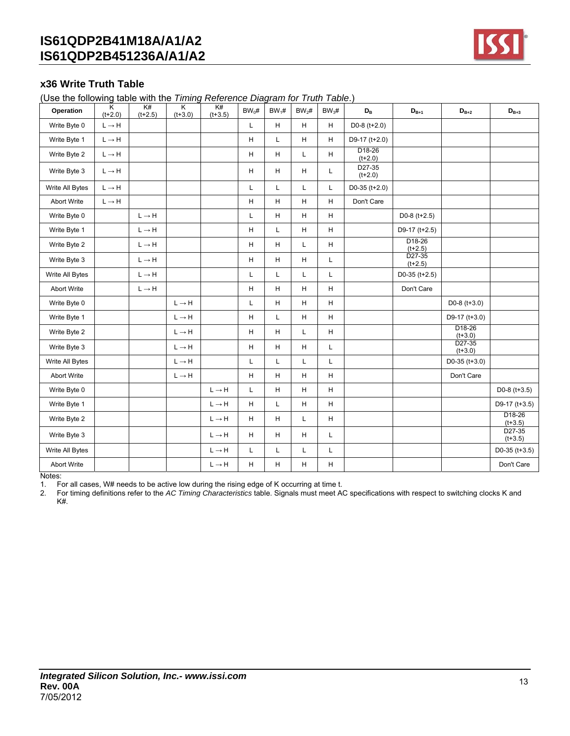

### **x36 Write Truth Table**

(Use the following table with the *Timing Reference Diagram for Truth Table*.)

| Operation          | K<br>$(t+2.0)$            | K#<br>$(t+2.5)$           | $\overline{\mathsf{K}}$<br>$(t+3.0)$ | K#<br>$(t+3.5)$   | $BW_0#$ | $BW_1#$ | $BW_2#$ | $BW_3#$     | $\mathsf{D}_\mathsf{B}$         | $D_{B+1}$             | $\mathsf{D}_{\mathsf{B} + 2}$   | $D_{B+3}$                        |
|--------------------|---------------------------|---------------------------|--------------------------------------|-------------------|---------|---------|---------|-------------|---------------------------------|-----------------------|---------------------------------|----------------------------------|
| Write Byte 0       | $L \rightarrow H$         |                           |                                      |                   | L       | н       | H       | H           | D0-8 $(t+2.0)$                  |                       |                                 |                                  |
| Write Byte 1       | $\mathsf{L}\to\mathsf{H}$ |                           |                                      |                   | H       | Г       | H       | H           | D9-17 (t+2.0)                   |                       |                                 |                                  |
| Write Byte 2       | $\mathsf{L}\to\mathsf{H}$ |                           |                                      |                   | н       | Н       | Г       | H           | D <sub>18-26</sub><br>$(t+2.0)$ |                       |                                 |                                  |
| Write Byte 3       | $L \rightarrow H$         |                           |                                      |                   | н       | H       | H       | L           | D27-35<br>$(t+2.0)$             |                       |                                 |                                  |
| Write All Bytes    | $L \rightarrow H$         |                           |                                      |                   | L       | L       | L       | L           | $D0-35$ (t+2.0)                 |                       |                                 |                                  |
| <b>Abort Write</b> | $L \rightarrow H$         |                           |                                      |                   | H       | н       | H       | H           | Don't Care                      |                       |                                 |                                  |
| Write Byte 0       |                           | $L \rightarrow H$         |                                      |                   | Г       | н       | H       | H           |                                 | $D0-8$ (t+2.5)        |                                 |                                  |
| Write Byte 1       |                           | $L \rightarrow H$         |                                      |                   | H       | L       | H       | H           |                                 | D9-17 (t+2.5)         |                                 |                                  |
| Write Byte 2       |                           | $\mathsf{L}\to\mathsf{H}$ |                                      |                   | н       | н       | L       | H           |                                 | $D18-26$<br>$(t+2.5)$ |                                 |                                  |
| Write Byte 3       |                           | $L \rightarrow H$         |                                      |                   | H       | H       | H       | $\mathsf L$ |                                 | D27-35<br>$(t+2.5)$   |                                 |                                  |
| Write All Bytes    |                           | $L \rightarrow H$         |                                      |                   | L       | L       | L       | L           |                                 | $D0-35$ (t+2.5)       |                                 |                                  |
| <b>Abort Write</b> |                           | $L \rightarrow H$         |                                      |                   | H       | H       | H       | H           |                                 | Don't Care            |                                 |                                  |
| Write Byte 0       |                           |                           | $L \rightarrow H$                    |                   | L       | Н       | H       | H           |                                 |                       | D0-8 $(t+3.0)$                  |                                  |
| Write Byte 1       |                           |                           | $L \rightarrow H$                    |                   | н       | L       | H       | H           |                                 |                       | D9-17 $(t+3.0)$                 |                                  |
| Write Byte 2       |                           |                           | $L \rightarrow H$                    |                   | н       | н       | L       | H           |                                 |                       | D <sub>18-26</sub><br>$(t+3.0)$ |                                  |
| Write Byte 3       |                           |                           | $L \rightarrow H$                    |                   | H       | H       | H       | L           |                                 |                       | D <sub>27-35</sub><br>$(t+3.0)$ |                                  |
| Write All Bytes    |                           |                           | $L \rightarrow H$                    |                   | Г       | Г       | Г       | L           |                                 |                       | $D0-35$ (t+3.0)                 |                                  |
| <b>Abort Write</b> |                           |                           | $L \rightarrow H$                    |                   | H       | н       | H       | H           |                                 |                       | Don't Care                      |                                  |
| Write Byte 0       |                           |                           |                                      | $L \rightarrow H$ | L       | Н       | H       | H           |                                 |                       |                                 | D0-8 $(t+3.5)$                   |
| Write Byte 1       |                           |                           |                                      | $L \rightarrow H$ | H       | Г       | н       | H           |                                 |                       |                                 | D9-17 ( $t+3.5$ )                |
| Write Byte 2       |                           |                           |                                      | $L \rightarrow H$ | H       | H       | L       | H           |                                 |                       |                                 | D <sub>18</sub> -26<br>$(t+3.5)$ |
| Write Byte 3       |                           |                           |                                      | $L \rightarrow H$ | H       | H       | H       | L           |                                 |                       |                                 | D27-35<br>$(t+3.5)$              |
| Write All Bytes    |                           |                           |                                      | $L \rightarrow H$ | L       | L       | L       | L           |                                 |                       |                                 | D0-35 ( $t+3.5$ )                |
| <b>Abort Write</b> |                           |                           |                                      | $L \rightarrow H$ | H       | Н       | Н       | H           |                                 |                       |                                 | Don't Care                       |

Notes:

1. For all cases, W# needs to be active low during the rising edge of K occurring at time t.

2. For timing definitions refer to the *AC Timing Characteristics* table. Signals must meet AC specifications with respect to switching clocks K and K#.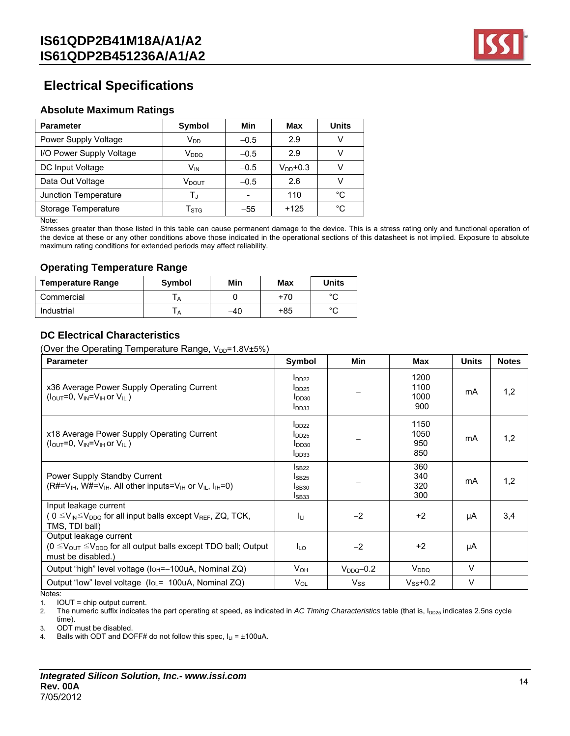

## **Electrical Specifications**

### **Absolute Maximum Ratings**

| <b>Parameter</b>         | Symbol                    | Min    | Max           | <b>Units</b> |
|--------------------------|---------------------------|--------|---------------|--------------|
| Power Supply Voltage     | $V_{DD}$                  | $-0.5$ | 2.9           |              |
| I/O Power Supply Voltage | V <sub>DDQ</sub>          | $-0.5$ | 2.9           |              |
| DC Input Voltage         | V <sub>IN</sub>           | $-0.5$ | $V_{DD}$ +0.3 |              |
| Data Out Voltage         | V <sub>DOUT</sub>         | $-0.5$ | 2.6           |              |
| Junction Temperature     | T.ı                       |        | 110           | °C           |
| Storage Temperature      | $\mathsf{T}_{\text{STG}}$ | $-55$  | $+125$        | °C           |

Note:

Stresses greater than those listed in this table can cause permanent damage to the device. This is a stress rating only and functional operation of the device at these or any other conditions above those indicated in the operational sections of this datasheet is not implied. Exposure to absolute maximum rating conditions for extended periods may affect reliability.

#### **Operating Temperature Range**

| <b>Temperature Range</b> | <b>Symbol</b> | Min | Max | Units  |
|--------------------------|---------------|-----|-----|--------|
| Commercial               |               |     | +70 | $\sim$ |
| Industrial               |               | -40 | +85 | $\sim$ |

### **DC Electrical Characteristics**

(Over the Operating Temperature Range,  $V_{DP}$ =1.8V $±5\%$ )

| $I_{DD22}$ | 1200<br>1100<br>1000<br>900                                                                                                                                                                                               | mA             | 1,2 |
|------------|---------------------------------------------------------------------------------------------------------------------------------------------------------------------------------------------------------------------------|----------------|-----|
|            | 1150<br>1050<br>950<br>850                                                                                                                                                                                                | mA             | 1,2 |
|            | 360<br>340<br>320<br>300                                                                                                                                                                                                  | mA             | 1,2 |
| $-2$       | $+2$                                                                                                                                                                                                                      | μA             | 3,4 |
| $-2$       | $+2$                                                                                                                                                                                                                      | μA             |     |
|            | V <sub>DDQ</sub>                                                                                                                                                                                                          | $\vee$         |     |
| $V_{SS}$   | $V_{SS}$ +0.2                                                                                                                                                                                                             | $\vee$         |     |
|            | I <sub>DD25</sub><br>I <sub>DD30</sub><br>I <sub>DD33</sub><br>$I_{DD22}$<br>$I_{DD25}$<br>$I_{DD30}$<br>I <sub>DD33</sub><br>IsB22<br>I <sub>SB25</sub><br>IsB30<br>$I_{SB33}$<br>Iц<br>$I_{LO}$<br>$V_{OH}$<br>$V_{OL}$ | $V_{DDQ}$ -0.2 |     |

1. IOUT = chip output current.

2. The numeric suffix indicates the part operating at speed, as indicated in *AC Timing Characteristics* table (that is, I<sub>DD25</sub> indicates 2.5ns cycle time).

3. ODT must be disabled.

4. Balls with ODT and DOFF# do not follow this spec,  $I_{LI} = \pm 100uA$ .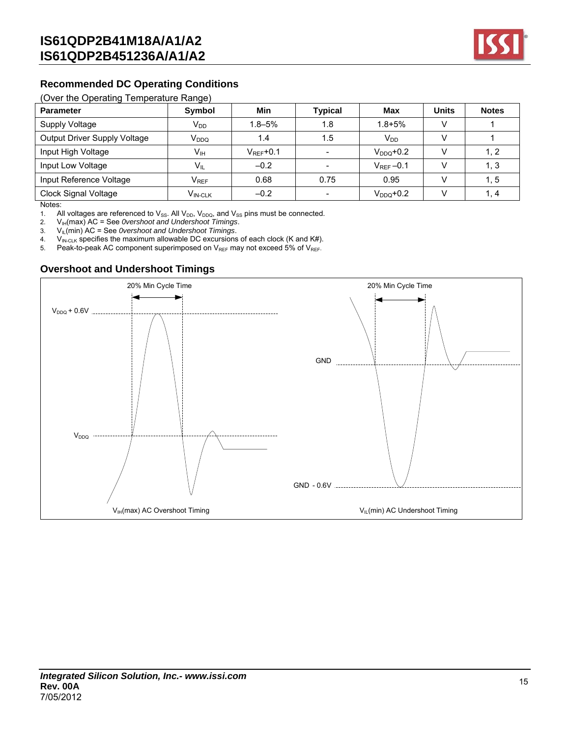

### **Recommended DC Operating Conditions**

#### (Over the Operating Temperature Range)

| <b>Parameter</b>             | $\tilde{\phantom{a}}$<br>Symbol                | Min                   | <b>Typical</b> | Max            | <b>Units</b> | <b>Notes</b> |
|------------------------------|------------------------------------------------|-----------------------|----------------|----------------|--------------|--------------|
| Supply Voltage               | V <sub>DD</sub>                                | $1.8 - 5\%$           | 1.8            | $1.8 + 5%$     |              |              |
| Output Driver Supply Voltage | V <sub>DDQ</sub>                               | 1.4                   | 1.5            | $V_{DD}$       |              |              |
| Input High Voltage           | Vıн                                            | $V_{\text{RFF}}$ +0.1 |                | $V_{DDO}$ +0.2 |              | 1, 2         |
| Input Low Voltage            | $V_{IL}$                                       | $-0.2$                |                | $V_{REF}-0.1$  |              | 1, 3         |
| Input Reference Voltage      | $\mathsf{V}_{\mathsf{REF}}$                    | 0.68                  | 0.75           | 0.95           |              | 1, 5         |
| Clock Signal Voltage         | $\mathsf{V}_{\mathsf{IN}\text{-}\mathsf{CLK}}$ | $-0.2$                |                | $V_{DDO}$ +0.2 |              | 1.4          |

Notes:

1. All voltages are referenced to  $V_{SS}$ . All  $V_{DD}$ ,  $V_{DDQ}$ , and  $V_{SS}$  pins must be connected.

2. V<sub>IH</sub>(max) AC = See *0vershoot and Undershoot Timings.*<br>3. V<sub>IL</sub>(min) AC = See *0vershoot and Undershoot Timings.* 

3. VIL(min) AC = See *0vershoot and Undershoot Timings*.

4. V<sub>IN-CLK</sub> specifies the maximum allowable DC excursions of each clock (K and K#).<br>5. Peak-to-peak AC component superimposed on V<sub>RFF</sub> may not exceed 5% of V<sub>RFF</sub>.

Peak-to-peak AC component superimposed on  $V_{REF}$  may not exceed 5% of  $V_{REF}$ .

### **Overshoot and Undershoot Timings**

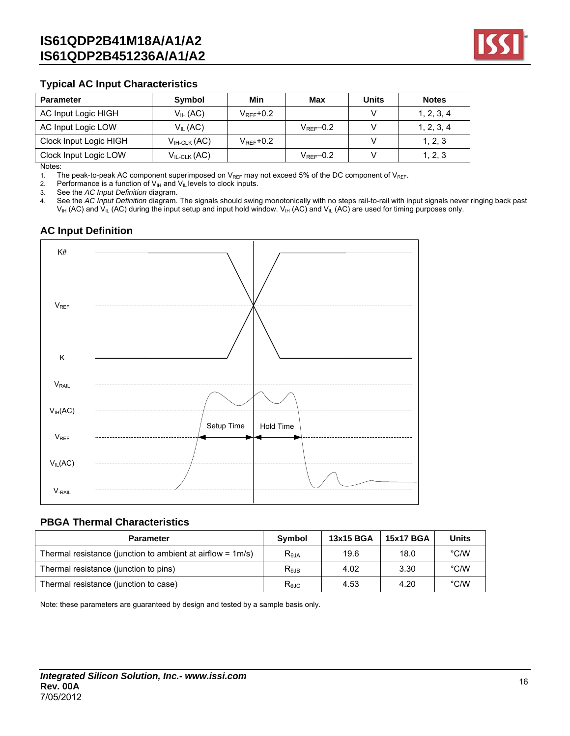

### **Typical AC Input Characteristics**

| <b>Parameter</b>       | Symbol                  | Min                   | Max                   | <b>Units</b> | <b>Notes</b> |
|------------------------|-------------------------|-----------------------|-----------------------|--------------|--------------|
| AC Input Logic HIGH    | $V_{H}$ (AC)            | $V_{\text{RFF}}$ +0.2 |                       |              | 1, 2, 3, 4   |
| AC Input Logic LOW     | $V_{IL}$ (AC)           |                       | $V_{\text{RFF}}$ -0.2 |              | 1, 2, 3, 4   |
| Clock Input Logic HIGH | $V_{H\text{-}CLK}$ (AC) | $V_{\rm{RFF}}$ +0.2   |                       |              | 1, 2, 3      |
| Clock Input Logic LOW  | $V_{IL-CLK}(AC)$        |                       | $V_{\text{RFF}}$ -0.2 |              | 1, 2, 3      |

Notes:

1. The peak-to-peak AC component superimposed on  $V_{REF}$  may not exceed 5% of the DC component of  $V_{REF}$ .<br>2. Performance is a function of  $V_{IH}$  and  $V_{IL}$  levels to clock inputs.

Performance is a function of  $V_{IH}$  and  $V_{IL}$  levels to clock inputs.

3. See the *AC Input Definition* diagram.

4. See the *AC Input Definition* diagram. The signals should swing monotonically with no steps rail-to-rail with input signals never ringing back past  $V_{IH}$  (AC) and  $V_{IL}$  (AC) during the input setup and input hold window.  $V_{IH}$  (AC) and  $V_{IL}$  (AC) are used for timing purposes only.

## **AC Input Definition**



### **PBGA Thermal Characteristics**

| <b>Parameter</b>                                              | Symbol     | 13x15 BGA | <b>15x17 BGA</b> | Units         |
|---------------------------------------------------------------|------------|-----------|------------------|---------------|
| Thermal resistance (junction to ambient at airflow = $1m/s$ ) | $R_{0,IA}$ | 19.6      | 18.0             | °C/W          |
| Thermal resistance (junction to pins)                         | $R_{0,IB}$ | 4.02      | 3.30             | $\degree$ C/W |
| Thermal resistance (junction to case)                         | Rejc       | 4.53      | 4.20             | $\degree$ C/W |

Note: these parameters are guaranteed by design and tested by a sample basis only.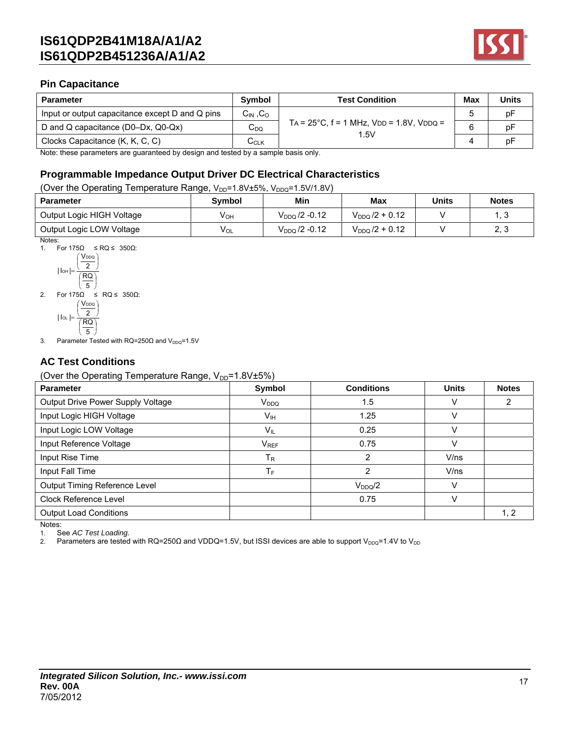

## **Pin Capacitance**

| <b>Parameter</b>                                | <b>Symbol</b>                    | <b>Test Condition</b>                                     | <b>Max</b> | <b>Units</b> |
|-------------------------------------------------|----------------------------------|-----------------------------------------------------------|------------|--------------|
| Input or output capacitance except D and Q pins | $C_{\text{IN}}$ , $C_{\text{O}}$ |                                                           |            | рF           |
| D and Q capacitance (D0–Dx, Q0-Qx)              | $C_{DQ}$                         | $TA = 25^{\circ}C$ , $f = 1$ MHz, $VDD = 1.8V$ , $VDDQ =$ |            |              |
| Clocks Capacitance (K, K, C, C)                 | $\mathtt{C}_\mathtt{CLK}$        | 1.5V                                                      |            |              |

Note: these parameters are guaranteed by design and tested by a sample basis only.

## **Programmable Impedance Output Driver DC Electrical Characteristics**

(Over the Operating Temperature Range, V<sub>DD</sub>=1.8V±5%, V<sub>DDQ</sub>=1.5V/1.8V)

| <b>Parameter</b>          | <b>Symbol</b> | Min                       | Max                 | <b>Units</b> | <b>Notes</b> |
|---------------------------|---------------|---------------------------|---------------------|--------------|--------------|
| Output Logic HIGH Voltage | Vон           | $V_{DDQ}$ /2 -0.12        | $V_{DDQ}$ /2 + 0.12 |              |              |
| Output Logic LOW Voltage  | $V_{OL}$      | V <sub>DDQ</sub> /2 -0.12 | $V_{DDO}$ /2 + 0.12 |              | ററ<br>ں .    |

Notes:

1. For  $175Ω ≤ RQ ≤ 350Ω$ :

$$
|\ln h| = \frac{\left(\frac{V_{DDQ}}{2}\right)}{\left(\frac{RQ}{5}\right)}
$$
  
2. For 175 $\Omega \le RQ \le 350\Omega$ :  

$$
\left(\frac{V_{DDQ}}{2}\right)
$$

l

2

J J  $\left(\frac{RQ}{2}\right)$ l ſ  $\overline{a}$  $\overline{5}$  $|$   $|o_L|$ 

J

3. Parameter Tested with  $RQ=250\Omega$  and  $V_{DDQ}=1.5V$ 

## **AC Test Conditions**

(Over the Operating Temperature Range,  $V_{DD}$ =1.8V $\pm$ 5%)

| ں ہ<br><b>Parameter</b>           | Symbol           | <b>Conditions</b> | <b>Units</b> | <b>Notes</b> |
|-----------------------------------|------------------|-------------------|--------------|--------------|
| Output Drive Power Supply Voltage | V <sub>DDQ</sub> | 1.5               |              |              |
| Input Logic HIGH Voltage          | V <sub>IH</sub>  | 1.25              |              |              |
| Input Logic LOW Voltage           | $V_{IL}$         | 0.25              |              |              |
| Input Reference Voltage           | $V_{REF}$        | 0.75              |              |              |
| Input Rise Time                   | Тĸ               | 2                 | V/ns         |              |
| Input Fall Time                   | ТF               | 2                 | V/ns         |              |
| Output Timing Reference Level     |                  | $V_{DDQ}/2$       |              |              |
| <b>Clock Reference Level</b>      |                  | 0.75              | v            |              |
| <b>Output Load Conditions</b>     |                  |                   |              | 1, 2         |
| Notes:                            |                  |                   |              |              |

1. See *AC Test Loading.*

2. Parameters are tested with RQ=250Ω and VDDQ=1.5V, but ISSI devices are able to support V<sub>DDQ</sub>=1.4V to V<sub>DD</sub>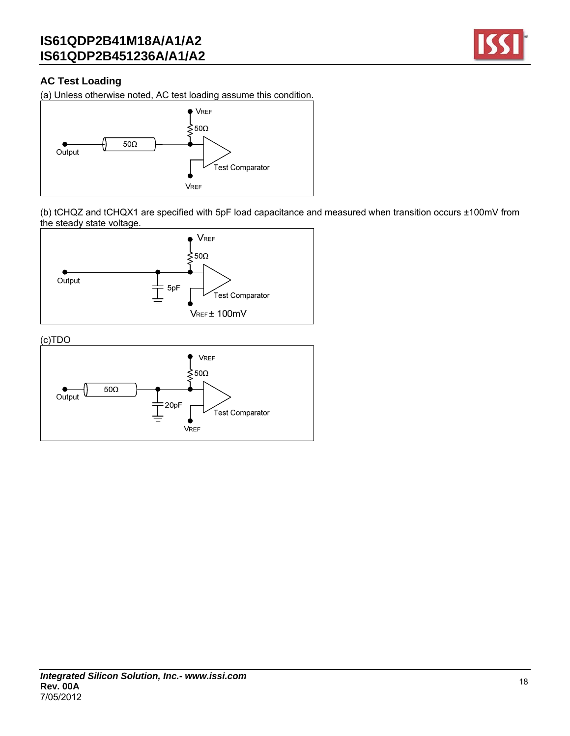

## **AC Test Loading**

(a) Unless otherwise noted, AC test loading assume this condition.



(b) tCHQZ and tCHQX1 are specified with 5pF load capacitance and measured when transition occurs ±100mV from the steady state voltage.



(c)TDO

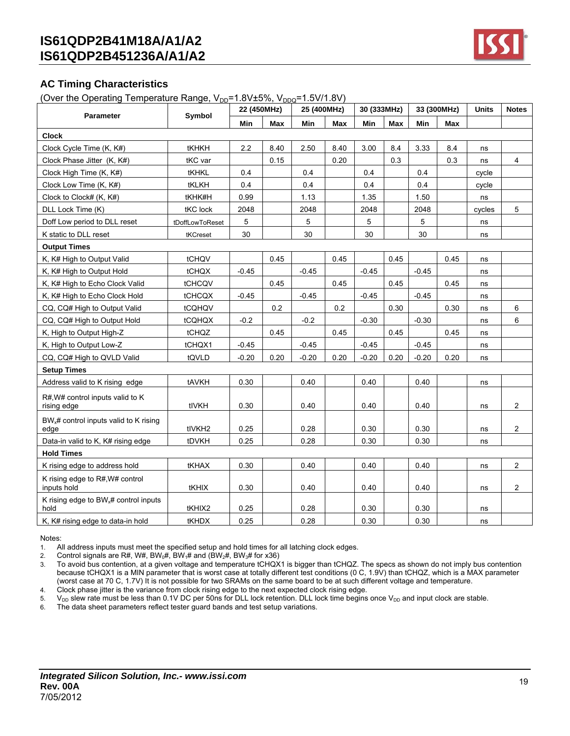

### **AC Timing Characteristics**

(Over the Operating Temperature Range,  $V_{DD}=1.8V±5\%$ ,  $V_{DDO}=1.5V/1.8V$ )

|                                                           | $\ldots$ point and $\ldots$ and $\ldots$ | 22 (450MHz) | $1.0.1 - 0.0$ , $1.000$ | 25 (400MHz) |      | 30 (333MHz) |            |         | 33 (300MHz) | Units  | <b>Notes</b>   |
|-----------------------------------------------------------|------------------------------------------|-------------|-------------------------|-------------|------|-------------|------------|---------|-------------|--------|----------------|
| <b>Parameter</b>                                          | Symbol                                   | Min         | <b>Max</b>              | Min         | Max  | Min         | <b>Max</b> | Min     | Max         |        |                |
| <b>Clock</b>                                              |                                          |             |                         |             |      |             |            |         |             |        |                |
| Clock Cycle Time (K, K#)                                  | tKHKH                                    | 2.2         | 8.40                    | 2.50        | 8.40 | 3.00        | 8.4        | 3.33    | 8.4         | ns     |                |
| Clock Phase Jitter (K, K#)                                | tKC var                                  |             | 0.15                    |             | 0.20 |             | 0.3        |         | 0.3         | ns     | $\overline{4}$ |
| Clock High Time (K, K#)                                   | tKHKL                                    | 0.4         |                         | 0.4         |      | 0.4         |            | 0.4     |             | cycle  |                |
| Clock Low Time (K, K#)                                    | tKLKH                                    | 0.4         |                         | 0.4         |      | 0.4         |            | 0.4     |             | cycle  |                |
| Clock to Clock# (K, K#)                                   | tKHK#H                                   | 0.99        |                         | 1.13        |      | 1.35        |            | 1.50    |             | ns     |                |
| DLL Lock Time (K)                                         | tKC lock                                 | 2048        |                         | 2048        |      | 2048        |            | 2048    |             | cycles | 5              |
| Doff Low period to DLL reset                              | tDoffLowToReset                          | 5           |                         | 5           |      | 5           |            | 5       |             | ns     |                |
| K static to DLL reset                                     | tKCreset                                 | 30          |                         | 30          |      | 30          |            | 30      |             | ns     |                |
| <b>Output Times</b>                                       |                                          |             |                         |             |      |             |            |         |             |        |                |
| K, K# High to Output Valid                                | tCHQV                                    |             | 0.45                    |             | 0.45 |             | 0.45       |         | 0.45        | ns     |                |
| K, K# High to Output Hold                                 | tCHQX                                    | $-0.45$     |                         | $-0.45$     |      | $-0.45$     |            | $-0.45$ |             | ns     |                |
| K, K# High to Echo Clock Valid                            | <b>tCHCQV</b>                            |             | 0.45                    |             | 0.45 |             | 0.45       |         | 0.45        | ns     |                |
| K, K# High to Echo Clock Hold                             | <b>tCHCQX</b>                            | $-0.45$     |                         | $-0.45$     |      | $-0.45$     |            | $-0.45$ |             | ns     |                |
| CQ, CQ# High to Output Valid                              | tCQHQV                                   |             | 0.2                     |             | 0.2  |             | 0.30       |         | 0.30        | ns     | 6              |
| CQ, CQ# High to Output Hold                               | tCQHQX                                   | $-0.2$      |                         | $-0.2$      |      | $-0.30$     |            | $-0.30$ |             | ns     | 6              |
| K, High to Output High-Z                                  | tCHQZ                                    |             | 0.45                    |             | 0.45 |             | 0.45       |         | 0.45        | ns     |                |
| K, High to Output Low-Z                                   | tCHQX1                                   | $-0.45$     |                         | $-0.45$     |      | $-0.45$     |            | $-0.45$ |             | ns     |                |
| CQ, CQ# High to QVLD Valid                                | tQVLD                                    | $-0.20$     | 0.20                    | $-0.20$     | 0.20 | $-0.20$     | 0.20       | $-0.20$ | 0.20        | ns     |                |
| <b>Setup Times</b>                                        |                                          |             |                         |             |      |             |            |         |             |        |                |
| Address valid to K rising edge                            | tAVKH                                    | 0.30        |                         | 0.40        |      | 0.40        |            | 0.40    |             | ns     |                |
| R#, W# control inputs valid to K<br>rising edge           | tIVKH                                    | 0.30        |                         | 0.40        |      | 0.40        |            | 0.40    |             | ns     | $\overline{2}$ |
| $BW_{x}$ # control inputs valid to K rising<br>edge       | tIVKH <sub>2</sub>                       | 0.25        |                         | 0.28        |      | 0.30        |            | 0.30    |             | ns     | $\overline{2}$ |
| Data-in valid to K, K# rising edge                        | tDVKH                                    | 0.25        |                         | 0.28        |      | 0.30        |            | 0.30    |             | ns     |                |
| <b>Hold Times</b>                                         |                                          |             |                         |             |      |             |            |         |             |        |                |
| K rising edge to address hold                             | tKHAX                                    | 0.30        |                         | 0.40        |      | 0.40        |            | 0.40    |             | ns     | $\overline{2}$ |
| K rising edge to R#, W# control<br>inputs hold            | tKHIX                                    | 0.30        |                         | 0.40        |      | 0.40        |            | 0.40    |             | ns     | $\overline{2}$ |
| K rising edge to BW <sub>x</sub> # control inputs<br>hold | tKHIX2                                   | 0.25        |                         | 0.28        |      | 0.30        |            | 0.30    |             | ns     |                |
| K, K# rising edge to data-in hold                         | tKHDX                                    | 0.25        |                         | 0.28        |      | 0.30        |            | 0.30    |             | ns     |                |

#### Notes:

1. All address inputs must meet the specified setup and hold times for all latching clock edges.

2. Control signals are R#, W#, BW<sub>0</sub>#, BW<sub>1</sub># and (BW<sub>2</sub>#, BW<sub>3</sub># for x36)<br>3. To avoid bus contention, at a given voltage and temperature tCHQX 3. To avoid bus contention, at a given voltage and temperature tCHQX1 is bigger than tCHQZ. The specs as shown do not imply bus contention because tCHQX1 is a MIN parameter that is worst case at totally different test conditions (0 C, 1.9V) than tCHQZ, which is a MAX parameter (worst case at 70 C, 1.7V) It is not possible for two SRAMs on the same board to be at such different voltage and temperature.

4. Clock phase jitter is the variance from clock rising edge to the next expected clock rising edge.<br>5.  $V_{\text{DD}}$  slew rate must be less than 0.1V DC per 50ns for DLL lock retention. DLL lock time begins

5.  $V_{DD}$  slew rate must be less than 0.1V DC per 50ns for DLL lock retention. DLL lock time begins once  $V_{DD}$  and input clock are stable.<br>6. The data sheet parameters reflect tester quard bands and test setup variations

The data sheet parameters reflect tester guard bands and test setup variations.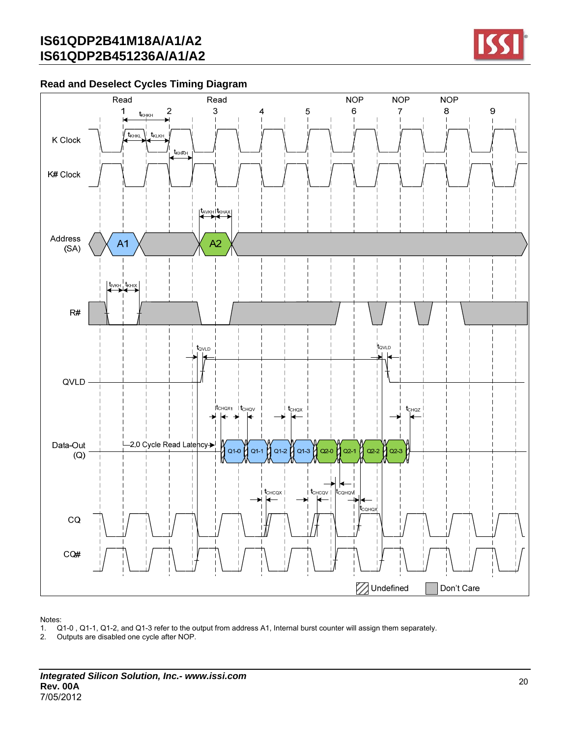

## **Read and Deselect Cycles Timing Diagram**



- 1. Q1-0 , Q1-1, Q1-2, and Q1-3 refer to the output from address A1, Internal burst counter will assign them separately.
- 2. Outputs are disabled one cycle after NOP.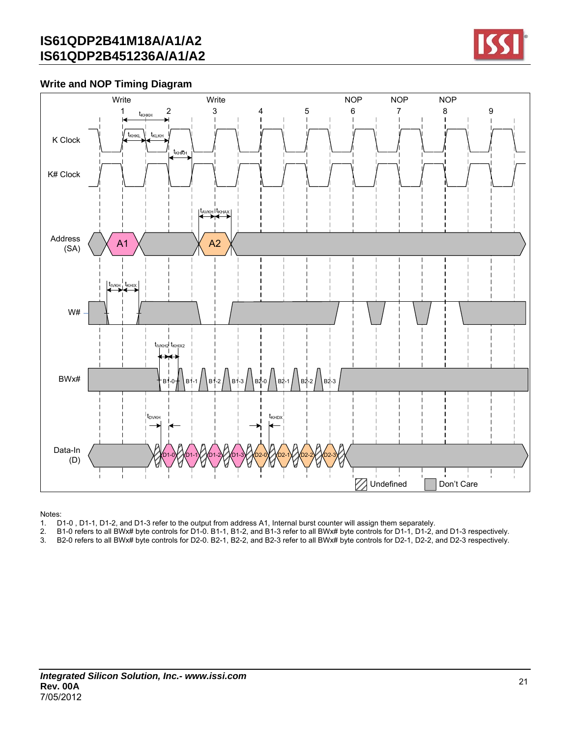

## **Write and NOP Timing Diagram**



- 1. D1-0, D1-1, D1-2, and D1-3 refer to the output from address A1, Internal burst counter will assign them separately.<br>2. B1-0 refers to all BWx# byte controls for D1-0. B1-1, B1-2, and B1-3 refer to all BWx# byte controls
- 2. B1-0 refers to all BWx# byte controls for D1-0. B1-1, B1-2, and B1-3 refer to all BWx# byte controls for D1-1, D1-2, and D1-3 respectively.
- 3. B2-0 refers to all BWx# byte controls for D2-0. B2-1, B2-2, and B2-3 refer to all BWx# byte controls for D2-1, D2-2, and D2-3 respectively.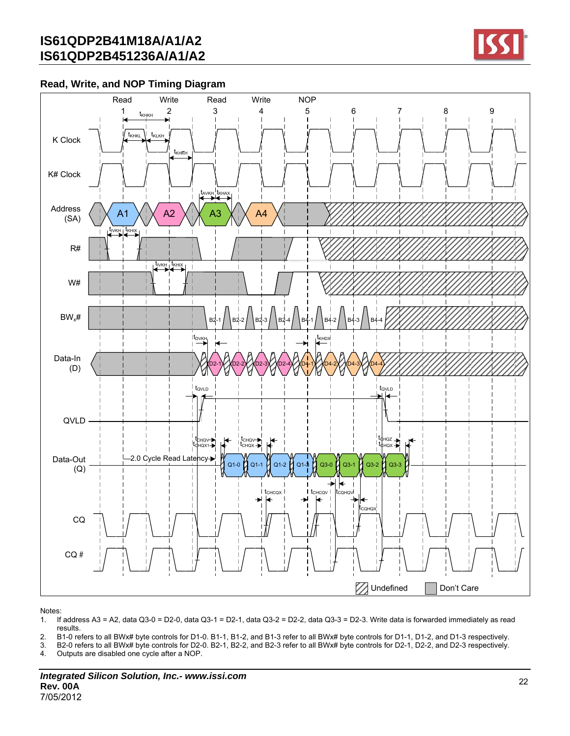

### **Read, Write, and NOP Timing Diagram**



- 1. If address A3 = A2, data Q3-0 = D2-0, data Q3-1 = D2-1, data Q3-2 = D2-2, data Q3-3 = D2-3. Write data is forwarded immediately as read results.
- 2. B1-0 refers to all BWx# byte controls for D1-0. B1-1, B1-2, and B1-3 refer to all BWx# byte controls for D1-1, D1-2, and D1-3 respectively.
- 3. B2-0 refers to all BWx# byte controls for D2-0. B2-1, B2-2, and B2-3 refer to all BWx# byte controls for D2-1, D2-2, and D2-3 respectively.
- 4. Outputs are disabled one cycle after a NOP.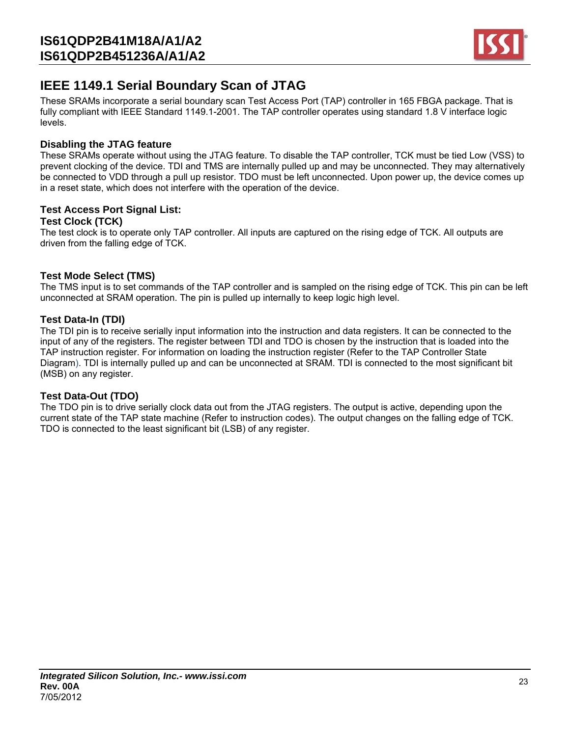

## **IEEE 1149.1 Serial Boundary Scan of JTAG**

These SRAMs incorporate a serial boundary scan Test Access Port (TAP) controller in 165 FBGA package. That is fully compliant with IEEE Standard 1149.1-2001. The TAP controller operates using standard 1.8 V interface logic levels.

### **Disabling the JTAG feature**

These SRAMs operate without using the JTAG feature. To disable the TAP controller, TCK must be tied Low (VSS) to prevent clocking of the device. TDI and TMS are internally pulled up and may be unconnected. They may alternatively be connected to VDD through a pull up resistor. TDO must be left unconnected. Upon power up, the device comes up in a reset state, which does not interfere with the operation of the device.

#### **Test Access Port Signal List: Test Clock (TCK)**

The test clock is to operate only TAP controller. All inputs are captured on the rising edge of TCK. All outputs are driven from the falling edge of TCK.

### **Test Mode Select (TMS)**

The TMS input is to set commands of the TAP controller and is sampled on the rising edge of TCK. This pin can be left unconnected at SRAM operation. The pin is pulled up internally to keep logic high level.

### **Test Data-In (TDI)**

The TDI pin is to receive serially input information into the instruction and data registers. It can be connected to the input of any of the registers. The register between TDI and TDO is chosen by the instruction that is loaded into the TAP instruction register. For information on loading the instruction register (Refer to the TAP Controller State Diagram). TDI is internally pulled up and can be unconnected at SRAM. TDI is connected to the most significant bit (MSB) on any register.

### **Test Data-Out (TDO)**

The TDO pin is to drive serially clock data out from the JTAG registers. The output is active, depending upon the current state of the TAP state machine (Refer to instruction codes). The output changes on the falling edge of TCK. TDO is connected to the least significant bit (LSB) of any register.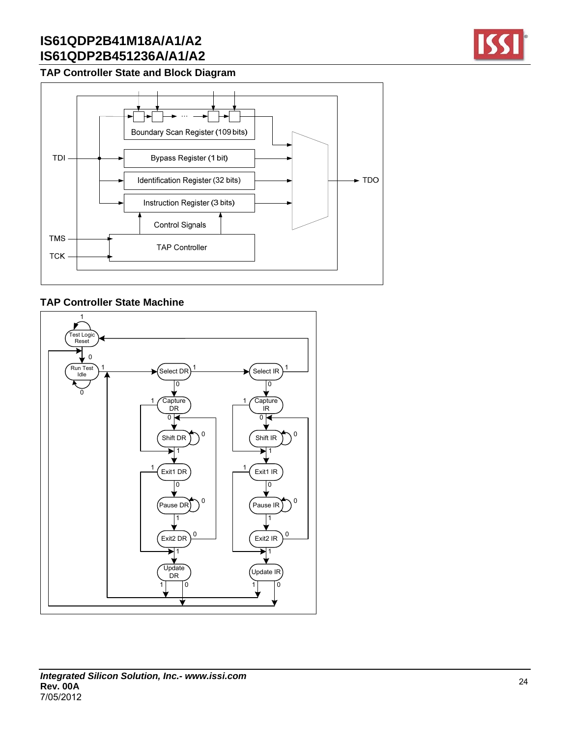## **TAP Controller State and Block Diagram**



### **TAP Controller State Machine**

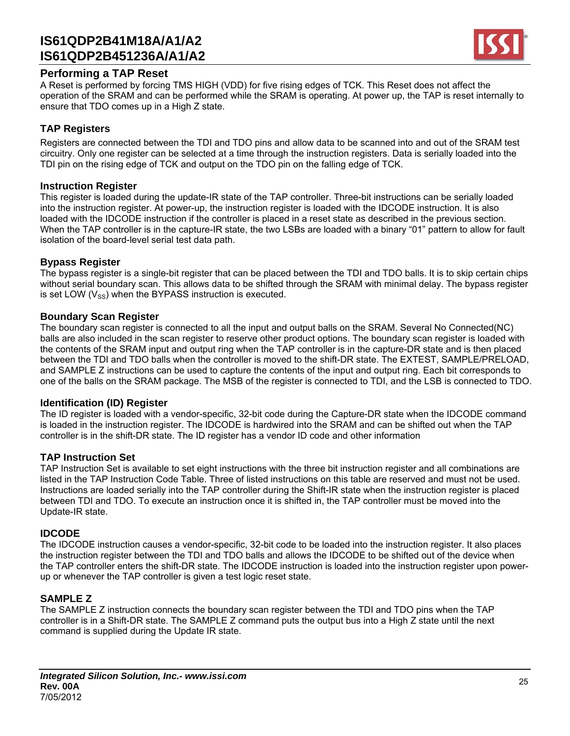

### **Performing a TAP Reset**

A Reset is performed by forcing TMS HIGH (VDD) for five rising edges of TCK. This Reset does not affect the operation of the SRAM and can be performed while the SRAM is operating. At power up, the TAP is reset internally to ensure that TDO comes up in a High Z state.

#### **TAP Registers**

Registers are connected between the TDI and TDO pins and allow data to be scanned into and out of the SRAM test circuitry. Only one register can be selected at a time through the instruction registers. Data is serially loaded into the TDI pin on the rising edge of TCK and output on the TDO pin on the falling edge of TCK.

#### **Instruction Register**

This register is loaded during the update-IR state of the TAP controller. Three-bit instructions can be serially loaded into the instruction register. At power-up, the instruction register is loaded with the IDCODE instruction. It is also loaded with the IDCODE instruction if the controller is placed in a reset state as described in the previous section. When the TAP controller is in the capture-IR state, the two LSBs are loaded with a binary "01" pattern to allow for fault isolation of the board-level serial test data path.

#### **Bypass Register**

The bypass register is a single-bit register that can be placed between the TDI and TDO balls. It is to skip certain chips without serial boundary scan. This allows data to be shifted through the SRAM with minimal delay. The bypass register is set LOW  $(V_{\rm SS})$  when the BYPASS instruction is executed.

#### **Boundary Scan Register**

The boundary scan register is connected to all the input and output balls on the SRAM. Several No Connected(NC) balls are also included in the scan register to reserve other product options. The boundary scan register is loaded with the contents of the SRAM input and output ring when the TAP controller is in the capture-DR state and is then placed between the TDI and TDO balls when the controller is moved to the shift-DR state. The EXTEST, SAMPLE/PRELOAD, and SAMPLE Z instructions can be used to capture the contents of the input and output ring. Each bit corresponds to one of the balls on the SRAM package. The MSB of the register is connected to TDI, and the LSB is connected to TDO.

#### **Identification (ID) Register**

The ID register is loaded with a vendor-specific, 32-bit code during the Capture-DR state when the IDCODE command is loaded in the instruction register. The IDCODE is hardwired into the SRAM and can be shifted out when the TAP controller is in the shift-DR state. The ID register has a vendor ID code and other information

#### **TAP Instruction Set**

TAP Instruction Set is available to set eight instructions with the three bit instruction register and all combinations are listed in the TAP Instruction Code Table. Three of listed instructions on this table are reserved and must not be used. Instructions are loaded serially into the TAP controller during the Shift-IR state when the instruction register is placed between TDI and TDO. To execute an instruction once it is shifted in, the TAP controller must be moved into the Update-IR state.

#### **IDCODE**

The IDCODE instruction causes a vendor-specific, 32-bit code to be loaded into the instruction register. It also places the instruction register between the TDI and TDO balls and allows the IDCODE to be shifted out of the device when the TAP controller enters the shift-DR state. The IDCODE instruction is loaded into the instruction register upon powerup or whenever the TAP controller is given a test logic reset state.

### **SAMPLE Z**

The SAMPLE Z instruction connects the boundary scan register between the TDI and TDO pins when the TAP controller is in a Shift-DR state. The SAMPLE Z command puts the output bus into a High Z state until the next command is supplied during the Update IR state.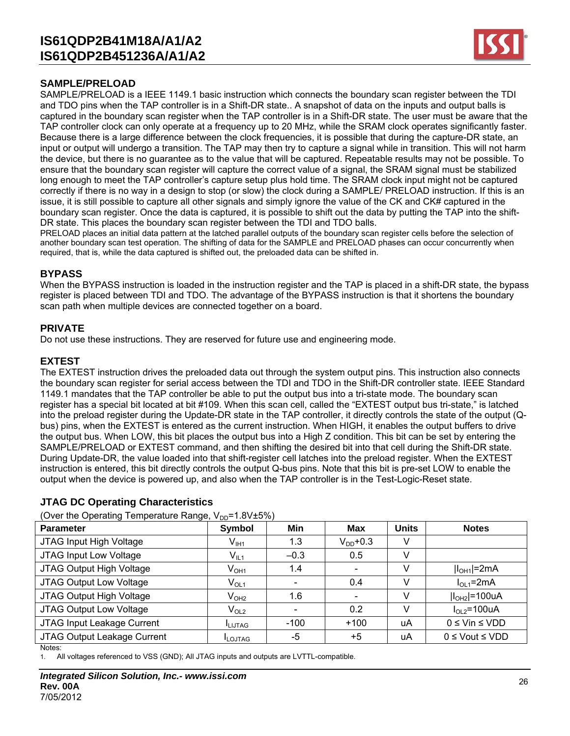

### **SAMPLE/PRELOAD**

SAMPLE/PRELOAD is a IEEE 1149.1 basic instruction which connects the boundary scan register between the TDI and TDO pins when the TAP controller is in a Shift-DR state.. A snapshot of data on the inputs and output balls is captured in the boundary scan register when the TAP controller is in a Shift-DR state. The user must be aware that the TAP controller clock can only operate at a frequency up to 20 MHz, while the SRAM clock operates significantly faster. Because there is a large difference between the clock frequencies, it is possible that during the capture-DR state, an input or output will undergo a transition. The TAP may then try to capture a signal while in transition. This will not harm the device, but there is no guarantee as to the value that will be captured. Repeatable results may not be possible. To ensure that the boundary scan register will capture the correct value of a signal, the SRAM signal must be stabilized long enough to meet the TAP controller's capture setup plus hold time. The SRAM clock input might not be captured correctly if there is no way in a design to stop (or slow) the clock during a SAMPLE/ PRELOAD instruction. If this is an issue, it is still possible to capture all other signals and simply ignore the value of the CK and CK# captured in the boundary scan register. Once the data is captured, it is possible to shift out the data by putting the TAP into the shift-DR state. This places the boundary scan register between the TDI and TDO balls.

PRELOAD places an initial data pattern at the latched parallel outputs of the boundary scan register cells before the selection of another boundary scan test operation. The shifting of data for the SAMPLE and PRELOAD phases can occur concurrently when required, that is, while the data captured is shifted out, the preloaded data can be shifted in.

#### **BYPASS**

When the BYPASS instruction is loaded in the instruction register and the TAP is placed in a shift-DR state, the bypass register is placed between TDI and TDO. The advantage of the BYPASS instruction is that it shortens the boundary scan path when multiple devices are connected together on a board.

#### **PRIVATE**

Do not use these instructions. They are reserved for future use and engineering mode.

#### **EXTEST**

The EXTEST instruction drives the preloaded data out through the system output pins. This instruction also connects the boundary scan register for serial access between the TDI and TDO in the Shift-DR controller state. IEEE Standard 1149.1 mandates that the TAP controller be able to put the output bus into a tri-state mode. The boundary scan register has a special bit located at bit #109. When this scan cell, called the "EXTEST output bus tri-state," is latched into the preload register during the Update-DR state in the TAP controller, it directly controls the state of the output (Qbus) pins, when the EXTEST is entered as the current instruction. When HIGH, it enables the output buffers to drive the output bus. When LOW, this bit places the output bus into a High Z condition. This bit can be set by entering the SAMPLE/PRELOAD or EXTEST command, and then shifting the desired bit into that cell during the Shift-DR state. During Update-DR, the value loaded into that shift-register cell latches into the preload register. When the EXTEST instruction is entered, this bit directly controls the output Q-bus pins. Note that this bit is pre-set LOW to enable the output when the device is powered up, and also when the TAP controller is in the Test-Logic-Reset state.

### **JTAG DC Operating Characteristics**

(Over the Operating Temperature Range,  $V_{DD}=1.8V\pm5\%$ )

| ، - ب                       |                  |        |                          |              |                         |
|-----------------------------|------------------|--------|--------------------------|--------------|-------------------------|
| <b>Parameter</b>            | Symbol           | Min    | <b>Max</b>               | <b>Units</b> | <b>Notes</b>            |
| JTAG Input High Voltage     | $V_{I H1}$       | 1.3    | $V_{DD}$ +0.3            | V            |                         |
| JTAG Input Low Voltage      | $V_{IL1}$        | $-0.3$ | 0.5                      | V            |                         |
| JTAG Output High Voltage    | $V_{OH1}$        | 1.4    | $\overline{\phantom{0}}$ | v            | $ I_{OH1} =2mA$         |
| JTAG Output Low Voltage     | $V_{OL1}$        |        | 0.4                      |              | $IOL1=2mA$              |
| JTAG Output High Voltage    | V <sub>OH2</sub> | 1.6    | $\overline{\phantom{0}}$ | V            | $ I_{OH2} $ =100uA      |
| JTAG Output Low Voltage     | $V_{OL2}$        |        | 0.2                      | V            | $IOL2=100uA$            |
| JTAG Input Leakage Current  | <b>I</b> LIJTAG  | $-100$ | $+100$                   | uA           | $0 \leq$ Vin $\leq$ VDD |
| JTAG Output Leakage Current | <b>ILOJTAG</b>   | -5     | $+5$                     | uA           | $0 \le$ Vout $\le$ VDD  |
| Notes:                      |                  |        |                          |              |                         |

1. All voltages referenced to VSS (GND); All JTAG inputs and outputs are LVTTL-compatible.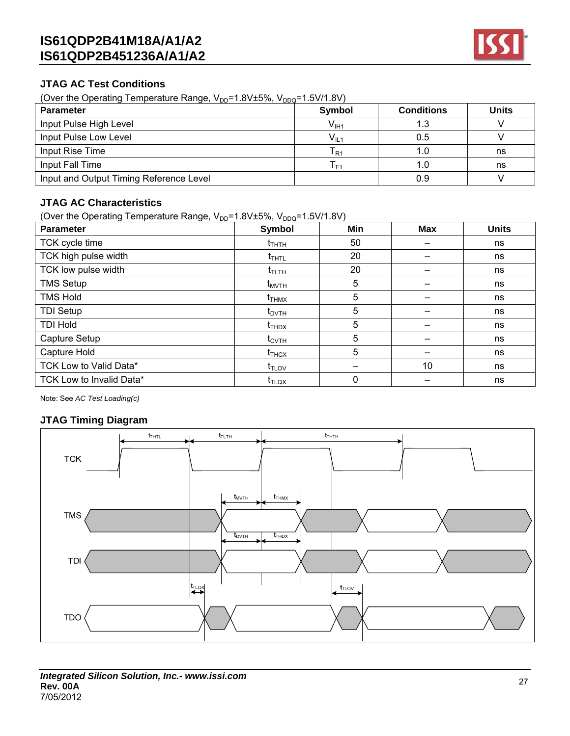

### **JTAG AC Test Conditions**

(Over the Operating Temperature Range,  $V_{DD}$ =1.8V±5%,  $V_{DDQ}$ =1.5V/1.8V)

| <b>Parameter</b>                        | <b>Symbol</b>              | <b>Conditions</b> | <b>Units</b> |
|-----------------------------------------|----------------------------|-------------------|--------------|
| Input Pulse High Level                  | $V_{\text{I}H1}$           | 1.3               |              |
| Input Pulse Low Level                   | $V_{IL1}$                  | 0.5               |              |
| Input Rise Time                         | $\mathsf{T}_{\mathsf{R1}}$ | 1.0               | ns           |
| Input Fall Time                         | $\mathsf{F}$ 1             | 1.0               | ns           |
| Input and Output Timing Reference Level |                            | 0.9               |              |

### **JTAG AC Characteristics**

(Over the Operating Temperature Range,  $V_{DD}=1.8V\pm5\%$ ,  $V_{DDQ}=1.5V/1.8V$ )

| <b>Parameter</b>         | Symbol                                | Min | <b>Max</b> | <b>Units</b> |
|--------------------------|---------------------------------------|-----|------------|--------------|
| TCK cycle time           | $t_{\scriptscriptstyle{\text{THTH}}}$ | 50  |            | ns           |
| TCK high pulse width     | $t_{THTL}$                            | 20  |            | ns           |
| TCK low pulse width      | $t_{\text{TLTH}}$                     | 20  |            | ns           |
| <b>TMS Setup</b>         | $t_{MVTH}$                            | 5   |            | ns           |
| <b>TMS Hold</b>          | $t_{THMX}$                            | 5   |            | ns           |
| <b>TDI Setup</b>         | $t_{\text{DVTH}}$                     | 5   |            | ns           |
| <b>TDI Hold</b>          | $t_{THDX}$                            | 5   |            | ns           |
| Capture Setup            | $t_{\text{CVTH}}$                     | 5   |            | ns           |
| Capture Hold             | $t_{THCX}$                            | 5   |            | ns           |
| TCK Low to Valid Data*   | $t_{\text{TLOV}}$                     |     | 10         | ns           |
| TCK Low to Invalid Data* | $t_{\text{TLQX}}$                     | 0   |            | ns           |

Note: See *AC Test Loading(c)*

### **JTAG Timing Diagram**

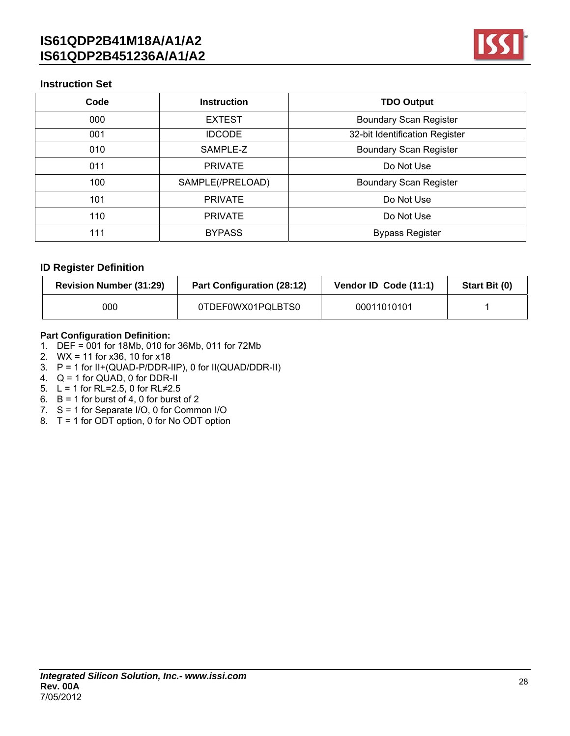

### **Instruction Set**

| Code | <b>Instruction</b> | <b>TDO Output</b>              |
|------|--------------------|--------------------------------|
| 000  | <b>EXTEST</b>      | <b>Boundary Scan Register</b>  |
| 001  | <b>IDCODE</b>      | 32-bit Identification Register |
| 010  | SAMPLE-Z           | <b>Boundary Scan Register</b>  |
| 011  | <b>PRIVATE</b>     | Do Not Use                     |
| 100  | SAMPLE(/PRELOAD)   | <b>Boundary Scan Register</b>  |
| 101  | <b>PRIVATE</b>     | Do Not Use                     |
| 110  | <b>PRIVATE</b>     | Do Not Use                     |
| 111  | <b>BYPASS</b>      | <b>Bypass Register</b>         |

### **ID Register Definition**

| <b>Revision Number (31:29)</b> | <b>Part Configuration (28:12)</b> | Vendor ID Code (11:1) | Start Bit (0) |
|--------------------------------|-----------------------------------|-----------------------|---------------|
| 000                            | 0TDEF0WX01PQLBTS0                 | 00011010101           |               |

### **Part Configuration Definition:**

- 1. DEF = 001 for 18Mb, 010 for 36Mb, 011 for 72Mb
- 2. WX = 11 for x36, 10 for x18
- 3. P = 1 for II+(QUAD-P/DDR-IIP), 0 for II(QUAD/DDR-II)
- 4.  $Q = 1$  for  $QUAD$ , 0 for DDR-II
- 5.  $L = 1$  for RL=2.5, 0 for RL≠2.5
- 6.  $B = 1$  for burst of 4, 0 for burst of 2
- 7. S = 1 for Separate I/O, 0 for Common I/O
- 8. T = 1 for ODT option, 0 for No ODT option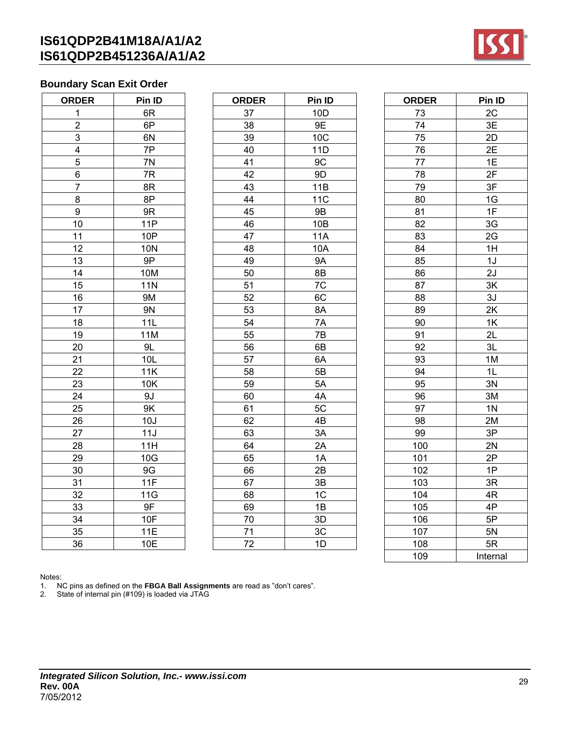

## **Boundary Scan Exit Order**

| <b>ORDER</b>    | Pin ID     |  |  |
|-----------------|------------|--|--|
| 1               | 6R         |  |  |
| $\overline{c}$  | 6P         |  |  |
| 3               | 6N         |  |  |
| 4               | 7P         |  |  |
| 5               | 7N         |  |  |
| 6               | 7R         |  |  |
| $\overline{7}$  | 8R         |  |  |
| 8               | 8P         |  |  |
| 9               | 9R         |  |  |
| 10              | 11P        |  |  |
| 11              | 10P        |  |  |
| 12              | <b>10N</b> |  |  |
| 13              | 9P         |  |  |
| 14              | 10M        |  |  |
| 15              | <b>11N</b> |  |  |
| 16              | <b>9M</b>  |  |  |
| 17              | 9N         |  |  |
| 18              | 11L        |  |  |
| 19              | 11M        |  |  |
| 20              | 9L         |  |  |
| 21              | 10L        |  |  |
| 22              | 11K        |  |  |
| $\overline{23}$ | 10K        |  |  |
| 24              | 9J         |  |  |
| 25              | 9K         |  |  |
| $\frac{26}{5}$  | 10J        |  |  |
| 27              | 11J        |  |  |
| 28              | 11H        |  |  |
| $\frac{29}{1}$  | 10G        |  |  |
| 30              | 9G         |  |  |
| 31              | 11F        |  |  |
| 32              | 11G        |  |  |
| 33              | 9F         |  |  |
| 34              | 10F        |  |  |
| 35              | 11E        |  |  |
| 36              | 10E        |  |  |

| <b>ORDER</b>            | Pin ID     | <b>ORDER</b> | Pin ID     | <b>ORDER</b> | Pin ID         |
|-------------------------|------------|--------------|------------|--------------|----------------|
| $\mathbf 1$             | 6R         | 37           | 10D        | 73           | 2C             |
| $\mathbf 2$             | 6P         | 38           | 9E         | 74           | 3E             |
| 3                       | 6N         | 39           | 10C        | 75           | 2D             |
| $\overline{\mathbf{4}}$ | 7P         | 40           | 11D        | 76           | 2E             |
| $\sqrt{5}$              | 7N         | 41           | 9C         | 77           | 1E             |
| $\,6$                   | $7{\sf R}$ | 42           | 9D         | 78           | 2F             |
| $\overline{7}$          | 8R         | 43           | 11B        | 79           | 3F             |
| 8                       | 8P         | 44           | <b>11C</b> | 80           | 1G             |
| $\boldsymbol{9}$        | 9R         | 45           | 9B         | 81           | 1F             |
| 10                      | <b>11P</b> | 46           | 10B        | 82           | 3G             |
| 11                      | 10P        | 47           | <b>11A</b> | 83           | 2G             |
| 12                      | <b>10N</b> | 48           | 10A        | 84           | 1H             |
| 13                      | 9P         | 49           | <b>9A</b>  | 85           | 1J             |
| 14                      | 10M        | 50           | 8B         | 86           | 2J             |
| 15                      | <b>11N</b> | 51           | 7C         | 87           | 3K             |
| 16                      | <b>9M</b>  | 52           | 6C         | 88           | 3J             |
| 17                      | <b>9N</b>  | 53           | 8A         | 89           | 2K             |
| 18                      | 11L        | 54           | 7A         | 90           | 1K             |
| 19                      | <b>11M</b> | 55           | 7B         | 91           | 2L             |
| 20                      | 9L         | 56           | 6B         | 92           | 3L             |
| 21                      | 10L        | 57           | 6A         | 93           | 1M             |
| 22                      | 11K        | 58           | 5B         | 94           | 1L             |
| 23                      | 10K        | 59           | 5A         | 95           | 3N             |
| 24                      | 9J         | 60           | 4A         | 96           | 3M             |
| 25                      | 9K         | 61           | 5C         | 97           | 1 <sub>N</sub> |
| 26                      | 10J        | 62           | 4B         | 98           | 2M             |
| 27                      | 11J        | 63           | 3A         | 99           | 3P             |
| 28                      | 11H        | 64           | 2A         | 100          | 2N             |
| 29                      | 10G        | 65           | 1A         | 101          | 2P             |
| 30                      | 9G         | 66           | 2B         | 102          | 1P             |
| 31                      | 11F        | 67           | 3B         | 103          | 3R             |
| 32                      | 11G        | 68           | 1C         | 104          | 4R             |
| 33                      | 9F         | 69           | 1B         | 105          | 4P             |
| 34                      | 10F        | 70           | 3D         | 106          | 5P             |
| 35                      | <b>11E</b> | 71           | 3C         | 107          | 5N             |
| 36                      | 10E        | 72           | 1D         | 108          | 5R             |

| <b>DER</b>                  | Pin ID     | <b>ORDER</b> | Pin ID          | <b>ORDER</b> | Pin ID         |
|-----------------------------|------------|--------------|-----------------|--------------|----------------|
|                             | 6R         | 37           | 10 <sub>D</sub> | 73           | 2C             |
|                             | 6P         | 38           | 9E              | 74           | 3E             |
|                             | 6N         | 39           | 10C             | 75           | 2D             |
|                             | 7P         | 40           | 11D             | 76           | 2E             |
|                             | 7N         | 41           | 9C              | 77           | 1E             |
|                             | 7R         | 42           | 9D              | 78           | 2F             |
|                             | 8R         | 43           | 11B             | 79           | 3F             |
|                             | 8P         | 44           | <b>11C</b>      | 80           | 1G             |
|                             | 9R         | 45           | $9\mathsf{B}$   | 81           | 1F             |
| 0                           | <b>11P</b> | 46           | 10B             | 82           | 3G             |
| $\mathbf 1$                 | <b>10P</b> | 47           | <b>11A</b>      | 83           | 2G             |
| $\overline{2}$              | 10N        | 48           | 10A             | 84           | 1H             |
| $\overline{3}$              | 9P         | 49           | <b>9A</b>       | 85           | 1J             |
| 4                           | <b>10M</b> | 50           | 8B              | 86           | 2J             |
| 5                           | <b>11N</b> | 51           | 7C              | 87           | 3K             |
| $\overline{6}$              | <b>9M</b>  | 52           | 6C              | 88           | 3J             |
| $\overline{7}$              | <b>9N</b>  | 53           | 8A              | 89           | 2K             |
| 8                           | 11L        | 54           | 7A              | 90           | 1K             |
| 9                           | <b>11M</b> | 55           | 7B              | 91           | 2L             |
| 0                           | 9L         | 56           | 6B              | 92           | 3L             |
| 1                           | 10L        | 57           | 6A              | 93           | 1M             |
| $\overline{c}$              | 11K        | 58           | 5B              | 94           | 1L             |
| <u>3</u>                    | 10K        | 59           | 5A              | 95           | 3N             |
|                             | 9J         | 60           | 4A              | 96           | 3M             |
| $\frac{4}{5}$               | 9K         | 61           | 5C              | 97           | 1 <sub>N</sub> |
| $\frac{6}{7}$               | 10J        | 62           | 4B              | 98           | 2M             |
|                             | 11J        | 63           | 3A              | 99           | 3P             |
|                             | 11H        | 64           | 2A              | 100          | 2N             |
|                             | 10G        | 65           | 1A              | 101          | 2P             |
| $\frac{8}{9}$ $\frac{0}{1}$ | 9G         | 66           | 2B              | 102          | 1P             |
|                             | 11F        | 67           | 3B              | 103          | 3R             |
|                             | 11G        | 68           | 1C              | 104          | 4R             |
| $\frac{2}{3}$               | 9F         | 69           | 1B              | 105          | 4P             |
|                             | 10F        | 70           | 3D              | 106          | 5P             |
| 5                           | 11E        | 71           | 3C              | 107          | 5N             |
| 6                           | 10E        | 72           | 1D              | 108          | 5R             |
|                             |            |              |                 | 109          | Internal       |

Notes:

1. NC pins as defined on the **FBGA Ball Assignments** are read as "don't cares".

2. State of internal pin (#109) is loaded via JTAG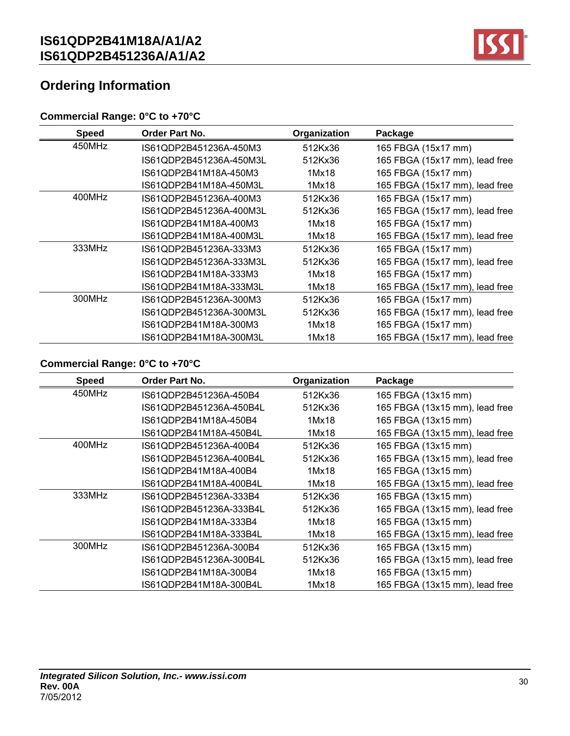

# **Ordering Information**

## **Commercial Range: 0°C to +70°C**

| <b>Speed</b> | <b>Order Part No.</b>   | Organization | Package                        |
|--------------|-------------------------|--------------|--------------------------------|
| 450MHz       | IS61QDP2B451236A-450M3  | 512Kx36      | 165 FBGA (15x17 mm)            |
|              | IS61QDP2B451236A-450M3L | 512Kx36      | 165 FBGA (15x17 mm), lead free |
|              | IS61QDP2B41M18A-450M3   | 1Mx18        | 165 FBGA (15x17 mm)            |
|              | IS61QDP2B41M18A-450M3L  | 1Mx18        | 165 FBGA (15x17 mm), lead free |
| 400MHz       | IS61QDP2B451236A-400M3  | 512Kx36      | 165 FBGA (15x17 mm)            |
|              | IS61QDP2B451236A-400M3L | 512Kx36      | 165 FBGA (15x17 mm), lead free |
|              | IS61QDP2B41M18A-400M3   | 1Mx18        | 165 FBGA (15x17 mm)            |
|              | IS61QDP2B41M18A-400M3L  | 1Mx18        | 165 FBGA (15x17 mm), lead free |
| 333MHz       | IS61QDP2B451236A-333M3  | 512Kx36      | 165 FBGA (15x17 mm)            |
|              | IS61QDP2B451236A-333M3L | 512Kx36      | 165 FBGA (15x17 mm), lead free |
|              | IS61QDP2B41M18A-333M3   | 1Mx18        | 165 FBGA (15x17 mm)            |
|              | IS61QDP2B41M18A-333M3L  | 1Mx18        | 165 FBGA (15x17 mm), lead free |
| 300MHz       | IS61QDP2B451236A-300M3  | 512Kx36      | 165 FBGA (15x17 mm)            |
|              | IS61QDP2B451236A-300M3L | 512Kx36      | 165 FBGA (15x17 mm), lead free |
|              | IS61QDP2B41M18A-300M3   | 1Mx18        | 165 FBGA (15x17 mm)            |
|              | IS61QDP2B41M18A-300M3L  | 1Mx18        | 165 FBGA (15x17 mm), lead free |

## **Commercial Range: 0°C to +70°C**

| <b>Speed</b> | Order Part No.          | Organization | Package                        |
|--------------|-------------------------|--------------|--------------------------------|
| 450MHz       | IS61QDP2B451236A-450B4  | 512Kx36      | 165 FBGA (13x15 mm)            |
|              | IS61QDP2B451236A-450B4L | 512Kx36      | 165 FBGA (13x15 mm), lead free |
|              | IS61QDP2B41M18A-450B4   | 1Mx18        | 165 FBGA (13x15 mm)            |
|              | IS61QDP2B41M18A-450B4L  | 1Mx18        | 165 FBGA (13x15 mm), lead free |
| 400MHz       | IS61QDP2B451236A-400B4  | 512Kx36      | 165 FBGA (13x15 mm)            |
|              | IS61QDP2B451236A-400B4L | 512Kx36      | 165 FBGA (13x15 mm), lead free |
|              | IS61QDP2B41M18A-400B4   | 1Mx18        | 165 FBGA (13x15 mm)            |
|              | IS61QDP2B41M18A-400B4L  | 1Mx18        | 165 FBGA (13x15 mm), lead free |
| 333MHz       | IS61QDP2B451236A-333B4  | 512Kx36      | 165 FBGA (13x15 mm)            |
|              | IS61QDP2B451236A-333B4L | 512Kx36      | 165 FBGA (13x15 mm), lead free |
|              | IS61QDP2B41M18A-333B4   | 1Mx18        | 165 FBGA (13x15 mm)            |
|              | IS61QDP2B41M18A-333B4L  | 1Mx18        | 165 FBGA (13x15 mm), lead free |
| 300MHz       | IS61QDP2B451236A-300B4  | 512Kx36      | 165 FBGA (13x15 mm)            |
|              | IS61QDP2B451236A-300B4L | 512Kx36      | 165 FBGA (13x15 mm), lead free |
|              | IS61QDP2B41M18A-300B4   | 1Mx18        | 165 FBGA (13x15 mm)            |
|              | IS61QDP2B41M18A-300B4L  | 1Mx18        | 165 FBGA (13x15 mm), lead free |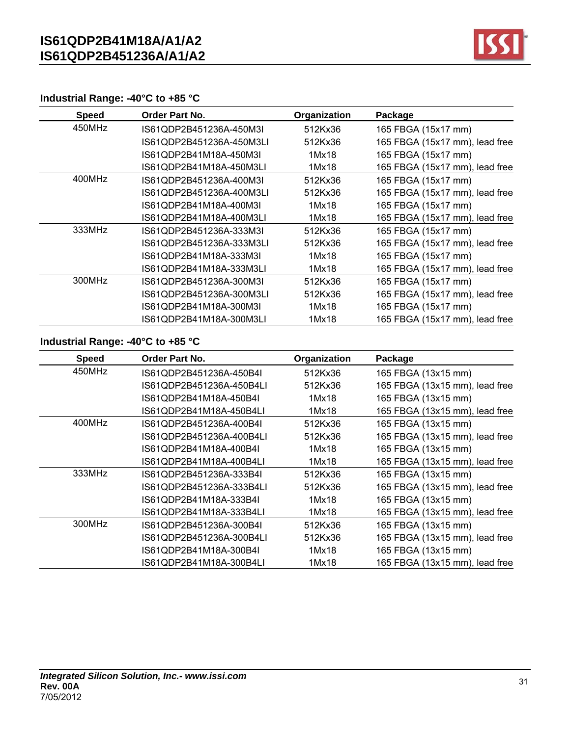

## **Industrial Range: -40°C to +85 °C**

| <b>Speed</b> | Order Part No.           | Organization | Package                        |
|--------------|--------------------------|--------------|--------------------------------|
| 450MHz       | IS61QDP2B451236A-450M3L  | 512Kx36      | 165 FBGA (15x17 mm)            |
|              | IS61QDP2B451236A-450M3LI | 512Kx36      | 165 FBGA (15x17 mm), lead free |
|              | IS61QDP2B41M18A-450M3I   | 1Mx18        | 165 FBGA (15x17 mm)            |
|              | IS61QDP2B41M18A-450M3LI  | 1Mx18        | 165 FBGA (15x17 mm), lead free |
| 400MHz       | IS61QDP2B451236A-400M3I  | 512Kx36      | 165 FBGA (15x17 mm)            |
|              | IS61QDP2B451236A-400M3LI | 512Kx36      | 165 FBGA (15x17 mm), lead free |
|              | IS61QDP2B41M18A-400M3I   | 1Mx18        | 165 FBGA (15x17 mm)            |
|              | IS61QDP2B41M18A-400M3LI  | 1Mx18        | 165 FBGA (15x17 mm), lead free |
| 333MHz       | IS61QDP2B451236A-333M3I  | 512Kx36      | 165 FBGA (15x17 mm)            |
|              | IS61QDP2B451236A-333M3LI | 512Kx36      | 165 FBGA (15x17 mm), lead free |
|              | IS61QDP2B41M18A-333M3I   | 1Mx18        | 165 FBGA (15x17 mm)            |
|              | IS61QDP2B41M18A-333M3LI  | 1Mx18        | 165 FBGA (15x17 mm), lead free |
| 300MHz       | IS61QDP2B451236A-300M3I  | 512Kx36      | 165 FBGA (15x17 mm)            |
|              | IS61QDP2B451236A-300M3LI | 512Kx36      | 165 FBGA (15x17 mm), lead free |
|              | IS61QDP2B41M18A-300M3I   | 1Mx18        | 165 FBGA (15x17 mm)            |
|              | IS61QDP2B41M18A-300M3LI  | 1Mx18        | 165 FBGA (15x17 mm), lead free |

## **Industrial Range: -40°C to +85 °C**

| <b>Speed</b> | Order Part No.           | Organization | Package                        |
|--------------|--------------------------|--------------|--------------------------------|
| 450MHz       | IS61QDP2B451236A-450B4I  | 512Kx36      | 165 FBGA (13x15 mm)            |
|              | IS61QDP2B451236A-450B4LI | 512Kx36      | 165 FBGA (13x15 mm), lead free |
|              | IS61QDP2B41M18A-450B4I   | 1Mx18        | 165 FBGA (13x15 mm)            |
|              | IS61QDP2B41M18A-450B4LI  | 1Mx18        | 165 FBGA (13x15 mm), lead free |
| 400MHz       | IS61QDP2B451236A-400B4I  | 512Kx36      | 165 FBGA (13x15 mm)            |
|              | IS61QDP2B451236A-400B4LI | 512Kx36      | 165 FBGA (13x15 mm), lead free |
|              | IS61QDP2B41M18A-400B4I   | 1Mx18        | 165 FBGA (13x15 mm)            |
|              | IS61QDP2B41M18A-400B4LI  | 1Mx18        | 165 FBGA (13x15 mm), lead free |
| 333MHz       | IS61QDP2B451236A-333B4I  | 512Kx36      | 165 FBGA (13x15 mm)            |
|              | IS61QDP2B451236A-333B4LI | 512Kx36      | 165 FBGA (13x15 mm), lead free |
|              | IS61QDP2B41M18A-333B4I   | 1Mx18        | 165 FBGA (13x15 mm)            |
|              | IS61QDP2B41M18A-333B4LI  | 1Mx18        | 165 FBGA (13x15 mm), lead free |
| 300MHz       | IS61QDP2B451236A-300B4I  | 512Kx36      | 165 FBGA (13x15 mm)            |
|              | IS61QDP2B451236A-300B4LI | 512Kx36      | 165 FBGA (13x15 mm), lead free |
|              | IS61QDP2B41M18A-300B4I   | 1Mx18        | 165 FBGA (13x15 mm)            |
|              | IS61QDP2B41M18A-300B4LI  | 1Mx18        | 165 FBGA (13x15 mm), lead free |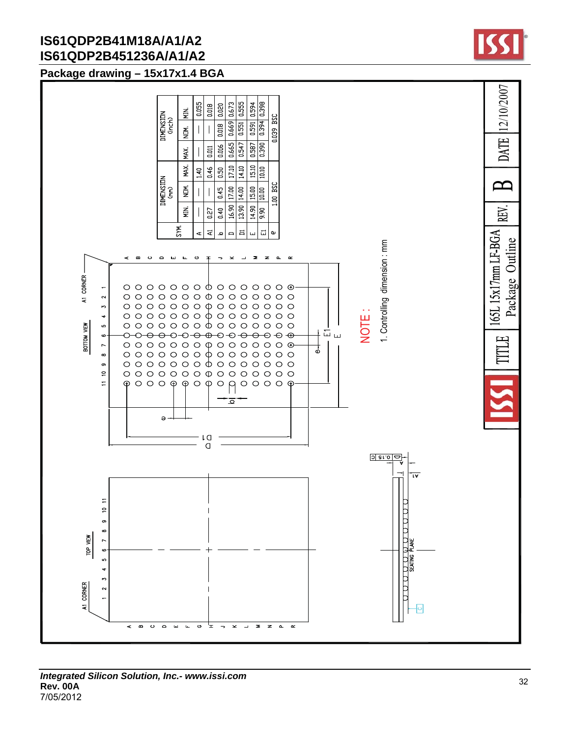## **Package drawing – 15x17x1.4 BGA**